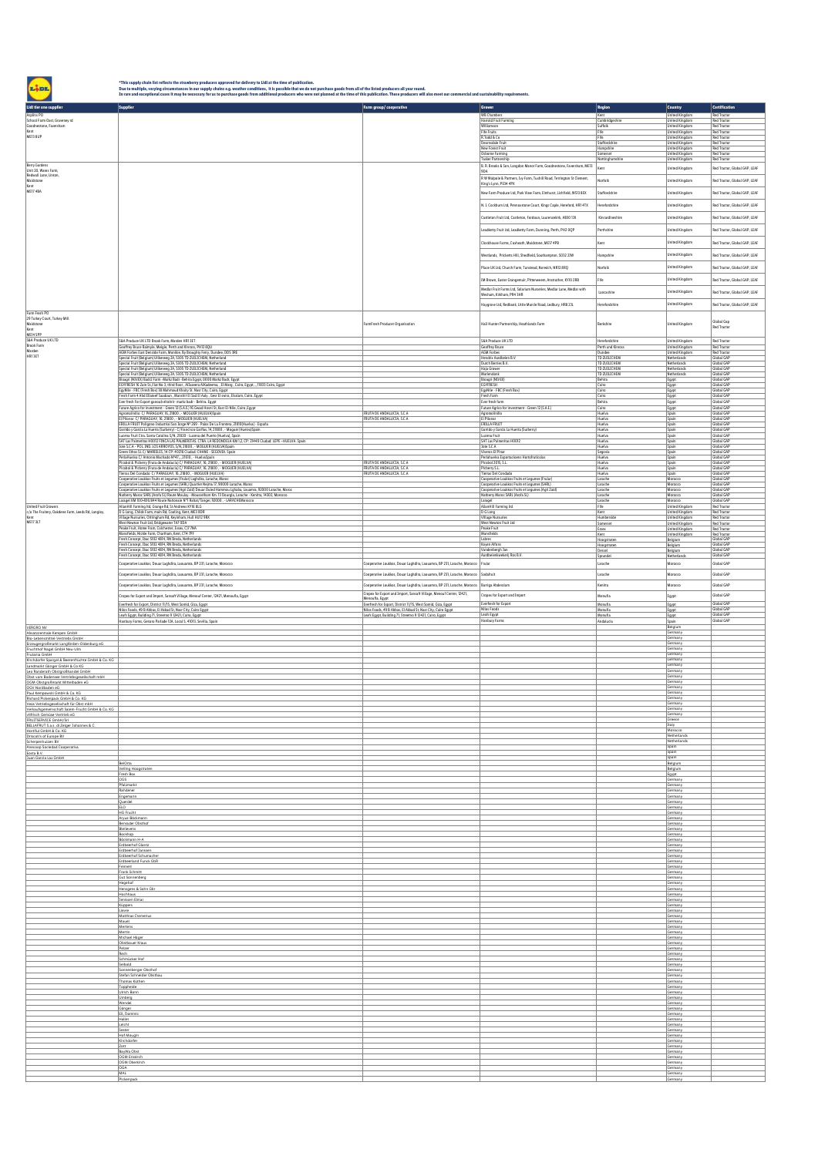"This supply chain list reflects the strawberry producers approved for delivery to Lisl at the time of publication.<br>Due to multiple, varying circumstances in our supply chain to a strawberry on the strawber of the strawber

| Lidl tier one supplier                                                           | <b>Supplier</b>                                                                                                                                                                                                                      | Farm group/cooperative                                                                      | <b>Grower</b>                                                                                                                         | <b>Region</b>                | <b>Country</b>                                 | Certification                 |
|----------------------------------------------------------------------------------|--------------------------------------------------------------------------------------------------------------------------------------------------------------------------------------------------------------------------------------|---------------------------------------------------------------------------------------------|---------------------------------------------------------------------------------------------------------------------------------------|------------------------------|------------------------------------------------|-------------------------------|
| Asplins PO                                                                       |                                                                                                                                                                                                                                      |                                                                                             | <b>WB Chamber</b>                                                                                                                     | Kent                         | <b>United Kingdom</b>                          | Red Tractor                   |
| School Farm Oast, Graveney rd<br>Goodnestone, Faversham                          |                                                                                                                                                                                                                                      |                                                                                             | Harrold Fruit Farming<br>Williamson                                                                                                   | Cambridgeshire<br>Suffolk    | <b>United Kingdom</b><br><b>United Kingdom</b> | Red Tractor<br>Red Tractor    |
| Kent<br>ME13 8UP                                                                 |                                                                                                                                                                                                                                      |                                                                                             | Fife Fruits                                                                                                                           | Fife                         | <b>United Kingdom</b>                          | Red Tractor                   |
|                                                                                  |                                                                                                                                                                                                                                      |                                                                                             | R.Todd & Co<br>Dearnsdale Frui                                                                                                        | Fife<br>Staffordshire        | <b>United Kingdom</b><br><b>United Kingdom</b> | Red Tractor<br>Red Tractor    |
|                                                                                  |                                                                                                                                                                                                                                      |                                                                                             | New Forest Fruit<br>Osborne Farming                                                                                                   | Hampshire<br>Somerset        | United Kingdom<br><b>United Kingdom</b>        | Red Tractor<br>Red Tractor    |
| <b>Berry Gardens</b>                                                             |                                                                                                                                                                                                                                      |                                                                                             | <b>Tasker Partnership</b>                                                                                                             | Nottinghamshir               | <b>United Kingdom</b>                          | Red Tractor                   |
| Unit 20, Wares Farm,                                                             |                                                                                                                                                                                                                                      |                                                                                             | B. R. Brooks & Son, Langdon Manor Farm, Goodnestone, Faversham, ME13<br>9DA                                                           | Kent                         | United Kingdom                                 | Red Tractor, Global GAP, LEAF |
| Redwall Lane, Linton<br>Maidstone                                                |                                                                                                                                                                                                                                      |                                                                                             | ${\sf R}$ W Walpole & Partners, Ivy Farm, Tuxhill Road, Terrington St Clement, King's Lynn, PE34 4PX                                  | orfolk                       | <b>United Kingdom</b>                          | Red Tractor, Global GAP, LEAF |
| Kent<br>ME17 4BA                                                                 |                                                                                                                                                                                                                                      |                                                                                             | New Farm Produce Ltd, Park View Farm, Elmhurst, Lichfield, WS13 8EX                                                                   | Staffordshire                | <b>United Kingdom</b>                          | Red Tractor, Global GAP, LEAF |
|                                                                                  |                                                                                                                                                                                                                                      |                                                                                             |                                                                                                                                       |                              |                                                |                               |
|                                                                                  |                                                                                                                                                                                                                                      |                                                                                             | N. I. Cockburn Ltd, Pennoxstone Court, Kings Caple, Hereford, HR1 4TX                                                                 | <i><b>derefordshire</b></i>  | United Kingdom                                 | Red Tractor, Global GAP, LEAF |
|                                                                                  |                                                                                                                                                                                                                                      |                                                                                             | Castleton Fruit Ltd, Castleton, Fordoun, Laurencekirk, AB30 13X                                                                       | Kincardineshire              | <b>United Kingdom</b>                          | Red Tractor, Global GAP, LEAF |
|                                                                                  |                                                                                                                                                                                                                                      |                                                                                             | Leadketty Fruit Ltd, Leadketty Farm, Dunning, Perth, PH2 OQP                                                                          | erthshire                    | <b>United Kingdom</b>                          | Red Tractor, Global GAP, LEAF |
|                                                                                  |                                                                                                                                                                                                                                      |                                                                                             |                                                                                                                                       |                              |                                                |                               |
|                                                                                  |                                                                                                                                                                                                                                      |                                                                                             | Clockhouse Farms, Coxheath, Maidstone, ME17 4PB                                                                                       | Kent                         | <b>United Kingdom</b>                          | Red Tractor, Global GAP, LEAF |
|                                                                                  |                                                                                                                                                                                                                                      |                                                                                             | Westlands, Pricketts Hill, Shedfield, Southampton, SO32 2JW                                                                           | Hampshire                    | <b>United Kingdom</b>                          | Red Tractor, Global GAP, LEAF |
|                                                                                  |                                                                                                                                                                                                                                      |                                                                                             | Place UK Ltd, Church Farm, Tunstead, Norwich, NR12 8RQ                                                                                | Norfolk                      | <b>United Kingdom</b>                          | Red Tractor, Global GAP, LEAF |
|                                                                                  |                                                                                                                                                                                                                                      |                                                                                             |                                                                                                                                       | He                           |                                                |                               |
|                                                                                  |                                                                                                                                                                                                                                      |                                                                                             | IM Brown, Easter Grangemuir, Pittenweem, Anstruther, KY10 2RB<br>Mediar Fruit Farms Ltd, Solarium Nurseries, Mediar Lane, Mediar with |                              | United Kingdom                                 | Red Tractor, Global GAP, LEAF |
|                                                                                  |                                                                                                                                                                                                                                      |                                                                                             | Wesham, Kirkham, PR4 3HR                                                                                                              | Lancashire                   | <b>United Kingdom</b>                          | Red Tractor, Global GAP, LEAF |
|                                                                                  |                                                                                                                                                                                                                                      |                                                                                             | Haygrove Ltd, Redbank, Little Marcle Road, Ledbury, HRB 23L                                                                           | Herefordshire                | <b>United Kingdom</b>                          | Red Tractor, Global GAP, LEAF |
| Farm Fresh PO                                                                    |                                                                                                                                                                                                                                      |                                                                                             |                                                                                                                                       |                              |                                                |                               |
| 29 Turkey Court, Turkey Mill<br>Maidstone                                        |                                                                                                                                                                                                                                      | FarmFresh Producer Organisation                                                             | Hall Hunter Partnership, Heathlands Farm                                                                                              | Berkshire                    | United Kingdom                                 | Global Gap<br>Red Tractor     |
| Kent                                                                             |                                                                                                                                                                                                                                      |                                                                                             |                                                                                                                                       |                              |                                                |                               |
| ME14 SPP<br>S&A Produce UK LTD                                                   | S&A Produce UK LTD Brook Farm, Marden HR1 3ET                                                                                                                                                                                        |                                                                                             | S&A Produce UK LTD                                                                                                                    | Herefordshire                | United Kingdom                                 | Red Tractor                   |
| Brook Farm<br>Marden                                                             | Geoffrey Bruce Balmyle, Meigle, Perth and Kinross, PH12 8QU<br>AGM Forbes East Denside Farm, Monikie, By Broughty Ferry, Dundee, DDS 3RE                                                                                             |                                                                                             | Geoffrey Bruce<br>AGM Forbes                                                                                                          | Perth and Kinross<br>Dundee  | <b>United Kingdom</b><br><b>United Kingdom</b> | Red Tractor<br>Red Tractor    |
| HR13ET                                                                           | Special Fruit (Belgium) Uilkenveg 2A, 5305 TD ZUILICHEM, Netherland<br>Special Fruit (Belgium) Uilkerweg 2A, 5305 TD ZUILICHEM, Netherland                                                                                           |                                                                                             | Hendrix Aardbeien B.V<br>Dutch Berries B.V.                                                                                           | TD ZUILICHEM<br>TD ZUILICHEM | Netherlands<br><b>Netherlands</b>              | Global GAF<br>Global GAP      |
|                                                                                  | Special Fruit (Belgium) Uilkenweg 2A, 5305 TD ZUILICHEM, Netherland                                                                                                                                                                  |                                                                                             | Haja Grower                                                                                                                           | TD ZUILICHEM                 | Netherlands                                    | Global GAF                    |
|                                                                                  | Special Fruit (Belgium) Uilkenveg 2A, 5305 TD ZUILICHEM, Netherland<br>Bioagri (NIVEX) Badr2 Farm -Markz Badr -Behira Egypt, 0000 Markz Badr, Egypt                                                                                  |                                                                                             | Mariendon<br>Bioagri (NIVEX)                                                                                                          | TD ZUILICHEM<br>Behira       | Netherlands<br>Egypt                           | Global GAF<br>Global GAP      |
|                                                                                  | EGYFRESH 16 Zain St., Flat No 3, third floor, AlJazeera AlKadeema, , El Marq, Cairo, Egypt, ,, 11833 Cairo, Egypt<br>EgyNile - FBC (Fresh Box) 38 Mahmoud Khairy St. Nasr City, Cairo, Egypt                                         |                                                                                             | EGYFRESH<br>EgyNile - FBC (Fresh Box)                                                                                                 | Cairo<br>Cairo               | Egypt<br>Egypt                                 | Global GAP<br>Global GAP      |
|                                                                                  | Fresh Farm 4 Abd Ellateef Saadoun, Manshit El Sad El Aaly, Gesr El swiss, Elsalam, Cairo, Egypt                                                                                                                                      |                                                                                             | Fresh Farm<br>Ever fresh farm                                                                                                         | Cairo<br>Behira              | Egypt<br>Egypt                                 | Global GAP<br>Global GAP      |
|                                                                                  | Ever fresh For Export ganoub eltahrir- markz badr - Behira. Egypt<br>Future Agrico for Investment - Green 12 (S.A.E.) 16 Gwad Hosmi St, Kasr El-Nile, Cairo , Egypt<br>Agromolinillo C/ PARAGUAY, 16, 21800 , - MOGUER (HUELVA)Spain |                                                                                             | Future Agrico for investment - Green 12 (S.A.E.)                                                                                      | Cairo                        | Egypt                                          | Global GAP                    |
|                                                                                  | El Pilonar C/ PARAGUAY, 16, 21800, - MOGUER (HUELVA)                                                                                                                                                                                 | FRUTA DE ANDALUCÍA, S.C.A<br>FRUTA DE ANDALUCÍA, S.C.A                                      | Agromolinilla<br>El Pilonar                                                                                                           | Huelva<br>Huelva             | Spain<br>Spain                                 | Global GAP<br>Global GAP      |
|                                                                                  | ERILLA FRUIT Poligono Industrial San Jorge Nº 269 - Palos De La Frontera, 21810 (Huelva) - España<br>Garrido y García La Huerta (Surberry) - C/Francisco Garfias, 14, 21800 , - Moguer (Huelva) Spain                                |                                                                                             | ERILLA FRUIT<br>Garrido y Garcia La Huerta (Surberry)                                                                                 | Huelva<br>Huelva             | Spain<br>Spain                                 | Global GAP<br>Global GAP      |
|                                                                                  | Lucena Fruit Ctra. Santa Catalina S/N, 21820 - Lucena del Puerto (Huelva), Spain<br>SAT Las Palmeritas HOO12 FINCA LAS PALMERITAS. CTRA. LA REDONDELA KM 1,2, CP: 21440 Ciudad: LEPE -HUELVA. Spain                                  |                                                                                             | Lucena Fruit                                                                                                                          | Huelva                       | Spain                                          | Global GAP                    |
|                                                                                  | Jote S.C.A - POL. IND. LOS ARROVOS, S/N, 21800, - MOGUER (HUELVA)Spair                                                                                                                                                               |                                                                                             | SAT Las Palmeritas H0012<br>Jote S.C.A                                                                                                | Huelva<br>Huelva             | Spain<br>Spain                                 | Global GAP<br>Global GAP      |
|                                                                                  | Green Ethos SL C/ MARIELES, 14 CP: 40216 Cludad: CHAÑE - SEGOVIA. Spain<br>PerlaHuelva C/ Antonio Machado Nº47, _21610, - HuelvaSpain                                                                                                |                                                                                             | Viveros El Pinar<br>Perlahuelva Exportacioens Hortofruticolas                                                                         | Segovia<br>Huelva            | Spain<br>Spain                                 | Global GAP<br>Global GAP      |
|                                                                                  | Picabol & Picberry (Fruta de Andalucia) C/ PARAGUAY, 16, 21800, - MOGUER (HUELVA)                                                                                                                                                    | FRUTA DE ANDALUCÍA, S.C.A<br>FRUTA DE ANDALUCÍA, S.C.A.                                     | Picabol 2015, S.L.<br>Picberry S.L.                                                                                                   | Huelva                       | Spain                                          | Global GAP<br>Global GAP      |
|                                                                                  | Picabol & Picberry (Fruta de Andalucia) C/ PARAGUAY, 16, 21800 , - MOGUER (HUELVA)<br>Tierras Del Condado C/ PARAGUAY, 16, 21800 , - MOGUER (HUELVA)                                                                                 | FRUTA DE ANDALUCÍA, S.C.A.                                                                  | Tierras Del Condado                                                                                                                   | Huelva<br>Huelva             | Spain<br>Spain                                 | Global GAF                    |
|                                                                                  | Cooperative Loukkos Fruits et Legumes (Frular) Laghdira, Larache, Maro<br>Cooperative Loukkos Fruits et Legumes (SARL) Quartier Nejma 17, 90000 Larache, Maroc                                                                       |                                                                                             | Cooperative Loukkos Fruits et Legumes (Frular)<br>Cooperative Loukkos Fruits et Legumes (SARL)                                        | Larache<br>Larache           | Morocco<br>Morocco                             | Global GAP<br>Global GAP      |
|                                                                                  | Cooperative Loukkos Fruits et Legumes (Agri Zaid) Douar Ouled Hammou Lghaba, Louamra, 92000 Larache, Maroc                                                                                                                           |                                                                                             | Cooperative Loukkos Fruits et Legumes (Agri Zaid)<br>Natherry Maroc SARL (Arofa SL)                                                   | Larache<br>Larache           | Morocco<br>Morocco                             | Global GAP<br>Global GAP      |
|                                                                                  | Natherry Maroc SARL (Arofa SL) Route Moulay - Mousselham Km. 13 Dourgia, Lanache - Kenitra, 14302, Morocco<br>Laragel KM 100+B16:B44 Route Nationale N°1 Rabat/Tanger, 92000 , - LARACHEMorocco                                      |                                                                                             | Laragel                                                                                                                               | Larache                      | Morocco                                        | Global GAP                    |
| United Fruit Growers<br>c/o The Fruitery, Oakdene Farm, Leeds Rd, Langley,       | AllanHill Farming ltd, Grange Rd, St Andrews KY16 8LG<br>D G Long, Childs Farm, main Rd, Cooling, Kent, ME3 8DR                                                                                                                      |                                                                                             | Allan Hill Farming Itd<br>DGLong                                                                                                      | Fife<br>Kent                 | <b>United Kingdom</b><br><b>United Kingdom</b> | Red Tractor<br>Red Tractor    |
| Kent<br><b>ME17 3LT</b>                                                          | Village Nursuries, Ottringham Rd, Keyinham, Hull HU12 9RX<br>West Newton Fruit Ltd, Bridgewater TA7 ODA                                                                                                                              |                                                                                             | <b>Village Nurs</b><br>West Newton Fruit Ltd                                                                                          | Humberside                   | <b>United Kingdom</b>                          | Red Tractor                   |
|                                                                                  | Peake Fruit, Home Fram, Colchester, Essex, CJ7 7NA                                                                                                                                                                                   |                                                                                             | Peake Fruit                                                                                                                           | Somerset<br>Essex            | <b>United Kingdom</b><br><b>United Kingdom</b> | Red Tractor<br>Red Tractor    |
|                                                                                  | Mansfields, Nickle Farm, Chartham, Kent, CT4 7PF<br>Fresh Concept, Ibac 5102 4814, RN Breda, Netherlands                                                                                                                             |                                                                                             | Mansfields<br>Labres                                                                                                                  | Kent<br>Hoogstraten          | <b>United Kingdom</b><br>Belgium               | Red Tractor<br>Global GAF     |
|                                                                                  | Fresh Concept, Ibac 5102 4814, RN Breda, Netherlands<br>Fresh Concept, Ibac 5102 4814, RN Breda, Netherlands                                                                                                                         |                                                                                             | Koyen Alfons<br>Vandenbergh Jan                                                                                                       | Hoodstraten<br>Dessel        | Belaium                                        | Global GAP<br>Global GAP      |
|                                                                                  | Fresh Concept, Ibac 5102 4814, RN Breda, Netherland:                                                                                                                                                                                 |                                                                                             | Aardbeienkweken) Ros B.V.                                                                                                             | Sorundel                     | Belgium<br>Netherland                          | Global GAP                    |
|                                                                                  | Cooperative Loukkos, Douar Laghdira, Laouarma, BP 231, Larache, Morocco                                                                                                                                                              | Cooperative Loukkos, Douar Laghdira, Laouarma, BP 231, Larache, Morocco                     | Frular                                                                                                                                | Larache                      | Morocco                                        | Global GAP                    |
|                                                                                  | Cooperative Loukkos, Douar Laghdira, Laouamra, BP 231, Larache, Morocco                                                                                                                                                              | Cooperative Loukkos, Douar Laghdira, Laouarma, BP 231, Larache, Morocco                     | Sodafruit                                                                                                                             | Larache                      | Morocco                                        | Global GAP                    |
|                                                                                  | Cooperative Loukkos, Douar Laghdira, Laouamra, BP 231, Larache, Morocco                                                                                                                                                              | Cooperative Loukkos, Douar Laghdira, Laguarma, BP 231, Larache, Morocco   Barriga Abdesslam |                                                                                                                                       | Kenitra                      | Morocco                                        | Global GAP                    |
|                                                                                  | Cropex for Export and Import, Sansaft Village, Menouf Center, 12421, Menoufla, Egypt                                                                                                                                                 | Cropex for Export and Import, Sansaft Village, Menouf Center, 12421,                        | Cropex for Export and Import                                                                                                          | Monufia                      | Egypt                                          | Global GAP                    |
|                                                                                  | Everfresh for Export, District 11/15, West Somid, Giza, Egypt                                                                                                                                                                        | Menoufla, Egypt<br>Everfresh for Export, District 11/15, West Somid, Giza, Egypt            | Everfresh for Export                                                                                                                  | Monufia                      | Egypt                                          | Global GAP                    |
|                                                                                  | Nilos Foods, 49 B Abbas, El Akkad St, Nasr City, Cairo Egypt                                                                                                                                                                         | Nilos Foods, 49 B Abbas, El Akkad St, Nasr City, Cairo Egypt                                | Nilos Foods<br>Leafs Eqypt                                                                                                            | Monufia                      | Egypt                                          | Global GAP<br>Global GAP      |
|                                                                                  | Leafs Eovot. Building 71. Streetno 9 12421. Cairo. Eovot<br>Hanbury Farms, Genaro Parlade 12A, Local 5, 41013, Sevilla, Spain                                                                                                        | Leafs Eovot. Building 71. Streetno 9 12421. Cairo. Eovot                                    | Hanbury Farms                                                                                                                         | Monufia<br>Andalucia         | Eavot<br>Spain                                 | Global GAP                    |
| VERGRO NV<br>Absatzzentrale Kempen GmbH                                          |                                                                                                                                                                                                                                      |                                                                                             |                                                                                                                                       |                              | Belgium<br>Germany                             |                               |
| Bio-Lebensmittel-Vertriebs GmbH                                                  |                                                                                                                                                                                                                                      |                                                                                             |                                                                                                                                       |                              | Germany<br>Germany                             |                               |
| Erzeugergroßmarkt Langförden-Oldenburg eG<br>Fruchthof Nagel GmbH Neu-Ulm        |                                                                                                                                                                                                                                      |                                                                                             |                                                                                                                                       |                              | Germany                                        |                               |
| Frutania GmbH<br>Kirchdorfer Spargel & Beerenfrüchte GmbH & Co. KG               |                                                                                                                                                                                                                                      |                                                                                             |                                                                                                                                       |                              | Germany<br>Germany                             |                               |
| Landmarkt Gänger GmbH & Co KG                                                    |                                                                                                                                                                                                                                      |                                                                                             |                                                                                                                                       |                              | Germany<br>Germany                             |                               |
| Leo Randerath Obstgroßhandel GmbH<br>Obst vom Bodensee Vertriebsgesellschaft mbH |                                                                                                                                                                                                                                      |                                                                                             |                                                                                                                                       |                              | Germany                                        |                               |
| OGM Obstgroßmarkt Mittelbaden eG<br>OGV Nordbaden eG                             |                                                                                                                                                                                                                                      |                                                                                             |                                                                                                                                       |                              | Germany<br>Germany                             |                               |
| Paul Kempowski GmbH & Co. KG                                                     |                                                                                                                                                                                                                                      |                                                                                             |                                                                                                                                       |                              | Germany<br>Germany                             |                               |
| Richard Pickenpack GmbH & Co. KG<br>Veos Vetriebsgesellschaft für Obst mbH       |                                                                                                                                                                                                                                      |                                                                                             |                                                                                                                                       |                              | Germany<br>Germany                             |                               |
| Verkaufsgemeinschaft Salem-Frucht GmbH & Co. KG<br>vitfrisch Gemüse-Vertrieb eG  |                                                                                                                                                                                                                                      |                                                                                             |                                                                                                                                       |                              | Germany                                        |                               |
| FRUITSERVICE GmbH/Srl<br>BELLAFRUT S.a.s. di Zelger Johannes & C.                |                                                                                                                                                                                                                                      |                                                                                             |                                                                                                                                       |                              | Greece<br>Italy                                |                               |
| Hortiful GmbH & Co. KG<br>Driscoll's of Europe BV                                |                                                                                                                                                                                                                                      |                                                                                             |                                                                                                                                       |                              | Morocco<br>Netherlands                         |                               |
| Scherpenhuizen BV                                                                |                                                                                                                                                                                                                                      |                                                                                             |                                                                                                                                       |                              | Netherlands<br>Spain                           |                               |
| Anecoop Sociedad Cooperativa<br>Eosta B.V.                                       |                                                                                                                                                                                                                                      |                                                                                             |                                                                                                                                       |                              | Spain                                          |                               |
| Juan García Lax GmbH                                                             | BelOrta                                                                                                                                                                                                                              |                                                                                             |                                                                                                                                       |                              | Spain<br>Belgium                               |                               |
|                                                                                  | Veiling Hoogstraten<br>Fresh Box                                                                                                                                                                                                     |                                                                                             |                                                                                                                                       |                              | Belgium<br>Egypt                               |                               |
|                                                                                  | OGS<br>Pfalzmarkt                                                                                                                                                                                                                    |                                                                                             |                                                                                                                                       |                              | Germany                                        |                               |
|                                                                                  | Rahdener                                                                                                                                                                                                                             |                                                                                             |                                                                                                                                       |                              | Germany<br>Germany                             |                               |
|                                                                                  | Engemann<br>Querdel                                                                                                                                                                                                                  |                                                                                             |                                                                                                                                       |                              | Germany<br>Germany                             |                               |
|                                                                                  | ELO <sub>1</sub><br><b>HG Frucht</b>                                                                                                                                                                                                 |                                                                                             |                                                                                                                                       |                              | Germany<br>Germany                             |                               |
|                                                                                  | Aryus-Böckmann<br>Benrader Obsthof                                                                                                                                                                                                   |                                                                                             |                                                                                                                                       |                              | Germany<br>Germany                             |                               |
|                                                                                  | Bleilevens                                                                                                                                                                                                                           |                                                                                             |                                                                                                                                       |                              | Germany                                        |                               |
|                                                                                  | Bockhop<br>Böckmann H-A                                                                                                                                                                                                              |                                                                                             |                                                                                                                                       |                              | Germany<br>Germany                             |                               |
|                                                                                  | Erdbeerhof Glantz<br>Erdbeerhof Janssen                                                                                                                                                                                              |                                                                                             |                                                                                                                                       |                              | Germany<br>Germany                             |                               |
|                                                                                  | Erdbeerhof Schumacher<br>Erdbeerland Funck GbR                                                                                                                                                                                       |                                                                                             |                                                                                                                                       |                              | Germany<br>Germany                             |                               |
|                                                                                  | Fennert                                                                                                                                                                                                                              |                                                                                             |                                                                                                                                       |                              | Germany                                        |                               |
|                                                                                  | Frank Schmitt<br>Gut Sonnenberg                                                                                                                                                                                                      |                                                                                             |                                                                                                                                       |                              | Germany<br>Germany                             |                               |
|                                                                                  | Hegehof<br>Hensgens & Sohn Gbr                                                                                                                                                                                                       |                                                                                             |                                                                                                                                       |                              | Germany<br>Germany                             |                               |
|                                                                                  | Hochhaus<br><b>Jenissen Elman</b>                                                                                                                                                                                                    |                                                                                             |                                                                                                                                       |                              | Germany<br>Germany                             |                               |
|                                                                                  | Küppers                                                                                                                                                                                                                              |                                                                                             |                                                                                                                                       |                              | Germany                                        |                               |
|                                                                                  | Lievre<br>Matthias Cremerius                                                                                                                                                                                                         |                                                                                             |                                                                                                                                       |                              | Germany<br>Germany                             |                               |
|                                                                                  | Mauel<br>Mertens                                                                                                                                                                                                                     |                                                                                             |                                                                                                                                       |                              | Germany<br>Germany                             |                               |
|                                                                                  | Mertin                                                                                                                                                                                                                               |                                                                                             |                                                                                                                                       |                              | Germany                                        |                               |
|                                                                                  | Michael Häger<br>Obstbauer Kraus                                                                                                                                                                                                     |                                                                                             |                                                                                                                                       |                              | Germany<br>Germany                             |                               |
|                                                                                  | Pelzer<br>Rech                                                                                                                                                                                                                       |                                                                                             |                                                                                                                                       |                              | Germany<br>Germany                             |                               |
|                                                                                  | Schmücker Hof<br>Seibold                                                                                                                                                                                                             |                                                                                             |                                                                                                                                       |                              | Germany                                        |                               |
|                                                                                  | Sonnenberger Obsthof                                                                                                                                                                                                                 |                                                                                             |                                                                                                                                       |                              | Germany<br>Germany                             |                               |
|                                                                                  | Stefan Schneider Obstbau<br>Thomas Küthen                                                                                                                                                                                            |                                                                                             |                                                                                                                                       |                              | Germany<br>Germany                             |                               |
|                                                                                  | Toppheide<br>Ulrich Bonn                                                                                                                                                                                                             |                                                                                             |                                                                                                                                       |                              | Germany<br>Germany                             |                               |
|                                                                                  | Umberg<br>Wendel                                                                                                                                                                                                                     |                                                                                             |                                                                                                                                       |                              | Germany<br>Germany                             |                               |
|                                                                                  | Gänger                                                                                                                                                                                                                               |                                                                                             |                                                                                                                                       |                              | Germany                                        |                               |
|                                                                                  | Ell. Dominic<br>Haller                                                                                                                                                                                                               |                                                                                             |                                                                                                                                       |                              | Germany<br>Germany                             |                               |
|                                                                                  | Leicht<br>Sester                                                                                                                                                                                                                     |                                                                                             |                                                                                                                                       |                              | Germany<br>Germany                             |                               |
|                                                                                  | Hof Mougin                                                                                                                                                                                                                           |                                                                                             |                                                                                                                                       |                              | Germany                                        |                               |
|                                                                                  | Kirchdorfer<br>Zott                                                                                                                                                                                                                  |                                                                                             |                                                                                                                                       |                              | Germany<br>Germany                             |                               |
|                                                                                  | BayWa Obst<br>OGM Eriskirch                                                                                                                                                                                                          |                                                                                             |                                                                                                                                       |                              | Germany<br>Germany                             |                               |
|                                                                                  | OGM Oberkirch<br>OGA.                                                                                                                                                                                                                |                                                                                             |                                                                                                                                       |                              | Germany<br>Germany                             |                               |
|                                                                                  | MAL<br>Pickenpack                                                                                                                                                                                                                    |                                                                                             |                                                                                                                                       |                              | Germany                                        |                               |
|                                                                                  |                                                                                                                                                                                                                                      |                                                                                             |                                                                                                                                       |                              | Germany                                        |                               |

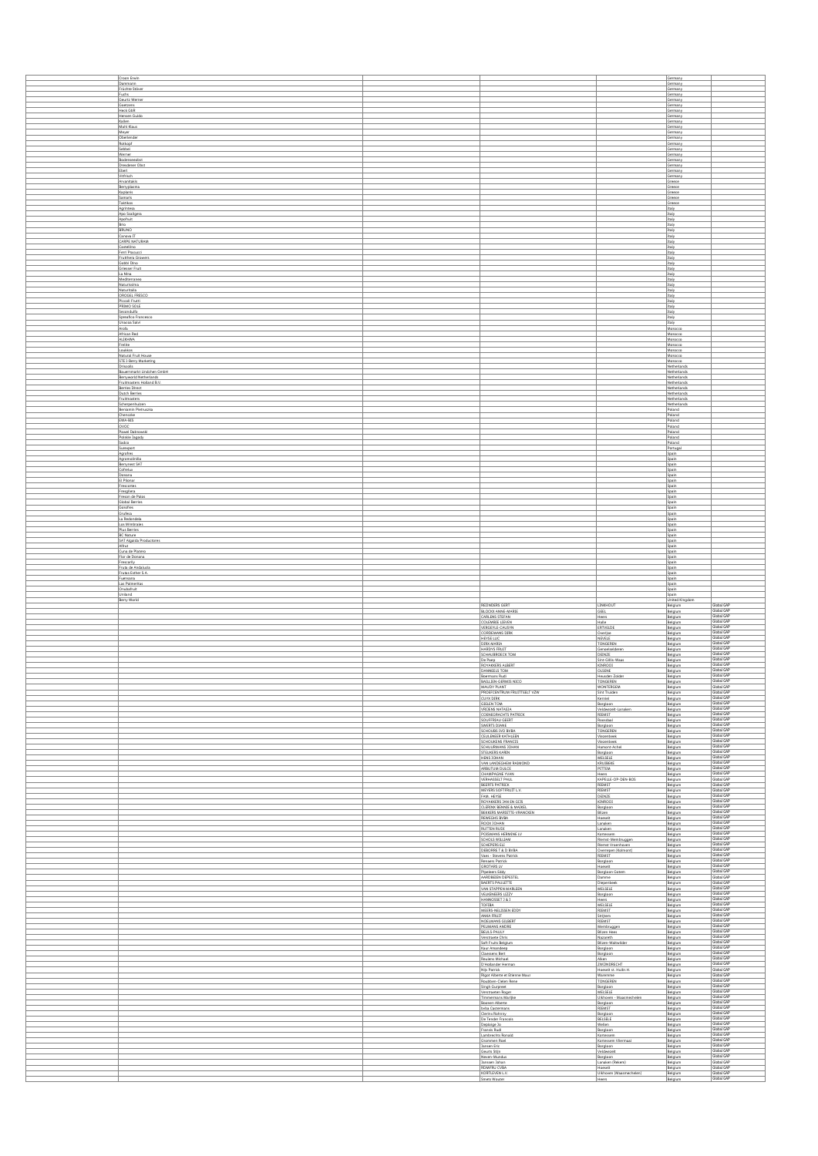| Croon Erwin                                   |                                                      |                                                       | Germany                       |                                        |
|-----------------------------------------------|------------------------------------------------------|-------------------------------------------------------|-------------------------------|----------------------------------------|
| Dammann                                       |                                                      |                                                       | Germany                       |                                        |
| Früchte Stöver                                |                                                      |                                                       | Germany                       |                                        |
| Fuchs<br>Geurtz Werner                        |                                                      |                                                       | Germany<br>Germany            |                                        |
| Goetzens<br>Heck GbR                          |                                                      |                                                       | Germany<br>Germany            |                                        |
| Hensen Guido                                  |                                                      |                                                       | Germany                       |                                        |
| Kallen<br>Mahl Klaus                          |                                                      |                                                       | Germany<br>Germany            |                                        |
| Meyer                                         |                                                      |                                                       | Germany                       |                                        |
| Oberlender<br>Rotkopf                         |                                                      |                                                       | Germany<br>Germany            |                                        |
| Sebbel                                        |                                                      |                                                       | Germany                       |                                        |
| Werner                                        |                                                      |                                                       | Germany                       |                                        |
| Bodenseeobst<br>Dresdener Obst                |                                                      |                                                       | Germany<br>Germany            |                                        |
| Ebert                                         |                                                      |                                                       | Germany                       |                                        |
| Vitfrisch<br>Arvanitakis                      |                                                      |                                                       | Germany<br>Greece             |                                        |
| Berryplasma                                   |                                                      |                                                       | Greece                        |                                        |
| Kaplanis<br>Samaris                           |                                                      |                                                       | Greece<br>Greece              |                                        |
| Taktikos                                      |                                                      |                                                       | Greece                        |                                        |
| Agrintesa                                     |                                                      |                                                       | Italy                         |                                        |
| Apo Scaligera<br>Apofruit                     |                                                      |                                                       | Italy<br>Italy                |                                        |
| Brio                                          |                                                      |                                                       | Italy                         |                                        |
| BRUNO<br>Canova IT                            |                                                      |                                                       | Italy<br>Italy                |                                        |
| CARPE NATURAM                                 |                                                      |                                                       | Italy                         |                                        |
| Castellino<br>Ferri Pracucci                  |                                                      |                                                       | Italy<br>Italy                |                                        |
| Frutthera Growers                             |                                                      |                                                       | Italy                         |                                        |
| Gobbi Dino<br>Griesser Fruit                  |                                                      |                                                       | Italy<br>Italy                |                                        |
| La Nina                                       |                                                      |                                                       | Italy                         |                                        |
| Mediterraneo<br>Naturissima                   |                                                      |                                                       | Italy<br>Italy                |                                        |
| Naturitalia                                   |                                                      |                                                       | Italy                         |                                        |
| OROGEL FRESCO<br>Piccoli Frutti               |                                                      |                                                       | Italy                         |                                        |
| PRIMO SOLE                                    |                                                      |                                                       | Italy<br>Italy                |                                        |
| Secondulfo                                    |                                                      |                                                       | Italy                         |                                        |
| Spreafico Francesco<br>Unacoa Salvi           |                                                      |                                                       | Italy<br>Italy                |                                        |
| Arofa                                         |                                                      |                                                       | Morocco                       |                                        |
| African Red<br>ALIKHWA                        |                                                      |                                                       | Morocco<br>Morocco            |                                        |
| Frelite                                       |                                                      |                                                       | Morocco                       |                                        |
| Loukkos<br>Natural Fruit House                |                                                      |                                                       | Morocco<br>Morocco            |                                        |
| STE I-Berry Marketing                         |                                                      |                                                       | Morocco                       |                                        |
| <b>Driscolls</b><br>Bauernmarkt Lindchen GmbH |                                                      |                                                       | Netherlands<br>Netherlands    |                                        |
| Berryworld Netherlands                        |                                                      |                                                       | <b>Netherlands</b>            |                                        |
| Fruitmasters Holland B.V.                     |                                                      |                                                       | Netherlands                   |                                        |
| <b>Berries Direct</b><br>Dutch Berries        |                                                      |                                                       | Netherlands<br>Netherlands    |                                        |
| Fruitmasters                                  |                                                      |                                                       | Netherlands<br>Netherlands    |                                        |
| Scherpenhuizen<br>Beniamin Pietruszka         |                                                      |                                                       | Poland                        |                                        |
| Chenczke                                      |                                                      |                                                       | Poland                        |                                        |
| EWA-BIS<br>ovoc                               |                                                      |                                                       | Poland<br>Poland              |                                        |
| Pawel Dabrowski                               |                                                      |                                                       | Poland                        |                                        |
| Polskie Jagody                                |                                                      |                                                       | Poland                        |                                        |
| Sadco<br>Surexport                            |                                                      |                                                       | Poland<br>Portugal            |                                        |
| Agrofres                                      |                                                      |                                                       | Spain                         |                                        |
| Agromolinillo<br><b>Berrynest SAT</b>         |                                                      |                                                       | Spain<br>Spain                |                                        |
| Cofretux                                      |                                                      |                                                       | Spain                         |                                        |
| Donana<br>El Pilonar                          |                                                      |                                                       | Spain<br>Spain                |                                        |
| Frescortes                                    |                                                      |                                                       | Spain                         |                                        |
| Fresgilera<br>Freson de Palos                 |                                                      |                                                       | Spain<br>Spain                |                                        |
| Global Berries                                |                                                      |                                                       | Spain                         |                                        |
| Gorofres<br>Grufesa                           |                                                      |                                                       | Spain<br>Spain                |                                        |
| La Redondela                                  |                                                      |                                                       | Spain                         |                                        |
| Los Mimbrales                                 |                                                      |                                                       | Spain                         |                                        |
| Plus Berries<br><b>BC Nature</b>              |                                                      |                                                       | Spain<br>Spain                |                                        |
| SAT Algaida Productores                       |                                                      |                                                       | Spain                         |                                        |
| Alfrut<br>Cuna de Platero                     |                                                      |                                                       | Spain<br>Spain                |                                        |
| Flor de Donana                                |                                                      |                                                       |                               |                                        |
|                                               |                                                      |                                                       | Spain                         |                                        |
| Frescarily                                    |                                                      |                                                       | Spain                         |                                        |
| Fruta de Andalucia<br>Frutas Esther S.A.      |                                                      |                                                       | Spain<br>Spain                |                                        |
| Fuensana                                      |                                                      |                                                       | Spain                         |                                        |
| Las Palmeritas<br>Onubafruit                  |                                                      |                                                       | Spain<br>Spain                |                                        |
| Uniland                                       |                                                      |                                                       | Spain                         |                                        |
| Berry World                                   |                                                      |                                                       | <b>United Kingdom</b>         | Global GAP                             |
|                                               | REDNDERS GERT<br><b>BLOCKX ANNE-MARIE</b>            | LINKHOUT<br>GEEL                                      | Belgium<br>Belgium            | Global GAP                             |
|                                               | CARLENS STEFAN                                       | Heers                                                 | Belgium                       | Global GAP<br>Global GAP               |
|                                               | COLEMBIE LIEVEN<br>VERGEYLE-CAUSYN                   | Halle<br>ERTVELDE                                     | Belgium<br>Belgium            | Global GAP                             |
|                                               | CORDEMANS DIRK                                       | Overlise                                              | Belgium                       | Global GAP<br>Global GAP               |
|                                               | HEYSE LUC<br>DIRX MARIA                              | NEVELE<br><b>TONGEREN</b>                             | Belgium<br>Belgium            | Global GAP                             |
|                                               | HARDYS FRUIT                                         | Genoelselderen                                        | Belgium                       | Global GAP                             |
|                                               | SCHAUBROECK TOM<br>De Paep                           | DEINZE<br>Sint-Gillis-Waas                            | Belgium<br>Belgium            | Global GAP<br>Global GAP               |
|                                               | ROYAKKERS ALBERT                                     | KINROOI                                               | Belgium                       | Global GAP                             |
|                                               | DANNEELS TOM<br>Boermans Rudi                        | OLSENE<br>Heusden Zolder                              | Belgium<br>Belgium            | Global GAP<br>Global GAP               |
|                                               | BAILLIEN-GERMIS NICO                                 | TONGEREN                                              | Belgium                       | Global GAP                             |
|                                               | MALIDY PLANT<br>PROEFCENTRUM FRUITTEELT VZW          | <b>WONTERGEM</b><br>Sint Truiden                      | Belgium<br>Belgium            | Slobal GAP<br>Global GAP               |
|                                               | CUYX DIRK                                            | Kerniel                                               | Belgium                       |                                        |
|                                               | <b>GIELEN TOM</b><br><b>VRIJENS NATASJA</b>          | Borgloon<br>Veldwezelt-Lanaken                        |                               | Global GAP<br>Global GAP<br>Global GAP |
|                                               | COENEGRACHTS PATRICK                                 | RIEMST                                                | Belgium<br>Belgium<br>Belgium | Global GAP                             |
|                                               | SOUFFRIAU GEERT                                      | Roosdaal                                              | Belgium                       | Global GAP<br>Global GAP               |
|                                               | SWERTS DIANE<br>SCHOUBS IVO BVBA                     | Borgloon<br>TONGEREN                                  | Belgium<br>Belgium            | Global GAP                             |
|                                               | CEULENEER KATHLEEN                                   | Viezenbeek                                            | Belgium                       | Global GAP<br>Global GAP               |
|                                               | SCHOUKENS FRANCIS<br>SCHUURMANS JOHAN                | Viezenbeek<br>Hamont-Achel                            | Belgium<br>Belgium            | Global GAP                             |
|                                               | <b>STEUKERS KARIN</b>                                | Borgloon                                              | Belgium                       | Global GAP<br>Global GAP               |
|                                               | HENS JOHAN<br>VAN LANDEGHEM RAIMOND                  | MELSELE<br>KRUIBEKE                                   | Belgium<br>Belgium            | Global GAP                             |
|                                               | ARBUTUM DULCE                                        | PITTEM                                                | Belgium                       | Global GAP<br>Global GAP               |
|                                               | CHAMPAGNE YVAN<br><b>VERHASSELT PAUL</b>             | Heers<br>KAPELLE-OP-DEN-BOS                           | Belgium<br>Belgium            | Global GAP                             |
|                                               | BEERTS PATRICK                                       | RIEMST                                                | Belgium                       | Global GAP<br>Global GAP               |
|                                               | MEYERS SOFTFRUIT L.V.<br>FAM. HEYSE                  | RIEMST<br>DEINZE                                      | Belgium<br>Belgium            | Global GAP                             |
|                                               | ROYAKKERS JAN EN GIJS                                | <b>KINROOI</b>                                        | Belgium                       | Global GAP<br>Global GAP               |
|                                               | CLERINX BENNIE & MAIKEL<br>BEKKERS MARIETTE-VRANCKEN | Borgloon<br>Bilzen                                    | Belgium<br>Belgium            | Global GAP                             |
|                                               | REWEGHS BVBA<br>ROOX JOHAN                           | Hoeselt                                               | Belgium                       | Global GAP<br>Global GAP               |
|                                               | <b>RUTTEN RUDI</b>                                   | Lanaken<br>Lanaken                                    | Belgium<br>Belgium            | Global GAP                             |
|                                               | POISMANS HERMINE LV                                  | Kortessem                                             | Belgium                       | Global GAP                             |
|                                               | SCHOLS WILLIAM<br>SCHEPERS ELI                       | Riemst-Membruggen<br>Riemst Vroenhoven                | Belgium<br>Belgium            | Global GAP<br>Global GAP               |
|                                               | DEBORRE T & D BVBA                                   | Overrepen (Kolmont)                                   | Belgium                       | Global GAP                             |
|                                               | Vaes - Stevens Patrick<br>Renaers Patrick            | RIEMST<br>Borgloon                                    | Belgium<br>Belgium            | Global GAP<br>Global GAP               |
|                                               | <b>GROTARS LV</b>                                    | Hoeselt                                               | Belgium                       | Global GAP                             |
|                                               | Pipeleers Eddy                                       | Borgloon Gotem                                        | Belgium<br>Belgium            | Global GAP<br>Global GAP               |
|                                               | AARDBEIEN DEPESTEL<br>BAERTS PAULETTE                | Damme<br>Diepenbeek                                   | Belgium                       | Global GAP                             |
|                                               | VAN STAPPEN MARLEEN                                  | MELSELE                                               | Belgium                       | Global GAP<br>Global GAP               |
|                                               | VELKENEERS LIZZY<br>HANNOSSET 3 & 3                  | Borgloon                                              | Belgium<br>Belgium            | Global GAP                             |
|                                               | <b>TOFIBA</b>                                        | Heers<br>MELSELE                                      | Belgium                       | Global GAP<br>Global GAP               |
|                                               | MEERS-NELISSEN EDDY<br>ANKA FRUIT                    | RIEMST<br>Striitem                                    | Belgium<br>Belgium            | Global GAP                             |
|                                               | NOELMANS GILBERT                                     | RIEMST                                                | Belgium                       | Global GAP<br>Global GAP               |
|                                               | PEUMANS ANDRE<br><b>BEULS-PAULY</b>                  | Membruggen<br><b>Bilzen Hees</b>                      | Belgium<br>Belgium            | Global GAP                             |
|                                               | Verstraete Chris                                     | Nazareth                                              | Belgium                       | Global GAP<br>Global GAP               |
|                                               | Soft Fruits Belgium<br>Kaur Amandeep                 | Bilzen-Waltwilder<br>Borgloon                         | Belgium<br>Belgium            | Global GAP                             |
|                                               | <b>Claessens Bert</b>                                | Borgloon                                              | Belgium                       | Global GAP                             |
|                                               | Reulens Michael<br>D'Hollander Herman                | Alken<br>ZWIJNDRECHT                                  | Belgium<br>Belgium            | Global GAP<br>Global GAP               |
|                                               | Nijs Patrick                                         | Hoeselt st. Hulbr.H.                                  | Belgium                       | Global GAP                             |
|                                               | Rigot Alberte et Etienne Maur<br>Roubben-Cleien Rene | Waremme<br>TONGEREN                                   | Belgium<br>Belgium            | Global GAP<br>Global GAP               |
|                                               | Singh Gurpreet                                       | Borgloon                                              | Belgium                       | Global GAP                             |
|                                               | Verstraeten Roger                                    | MELSELE                                               | Belgium                       | Global GAP<br>Global GAP               |
|                                               | Timmermans Marijke<br>Boonen Alberte                 | Ulkhoven - Maasmechelen<br>Borgloon                   | Belgium<br>Belgium            | Global GAP                             |
|                                               | byba Castermans                                      | RIEMST                                                | Belgium                       | Global GAP<br>Global GAP               |
|                                               | Clerinx Rohnny<br>De Tender Francois                 | Borgloon<br>BELSELE                                   | Belgium<br>Belgium            | Global GAP                             |
|                                               | Deploige Jo                                          | Wellen                                                | Belgium                       | Global GAP                             |
|                                               | Fransis Rudi<br>Lambrechts Ronald                    | Borgloon<br>Kortessem                                 | Belgium<br>Belgium            | Global GAP<br>Global GAP               |
|                                               | Grommen Roel                                         | Kortessem Vliermaal                                   | Belgium                       | Global GAP                             |
|                                               | Jansen Eric<br>Geurts Stiin                          | Borgloon<br>Veldwezelt                                | Belgium<br>Belgium            | Global GAP<br>Global GAP               |
|                                               | Neven-Mundus                                         | Borgloon                                              | Belgium                       | Global GAP                             |
|                                               | Janssen Johan<br>RDMFRU CVBA<br>KORTLEVEN L.V.       | Lanaken (Rekem)<br>Hoeselt<br>Ulkhoven (Maasmechelen) | Belgium<br>Belgium            | Global GAP<br>Global GAP<br>Global GAP |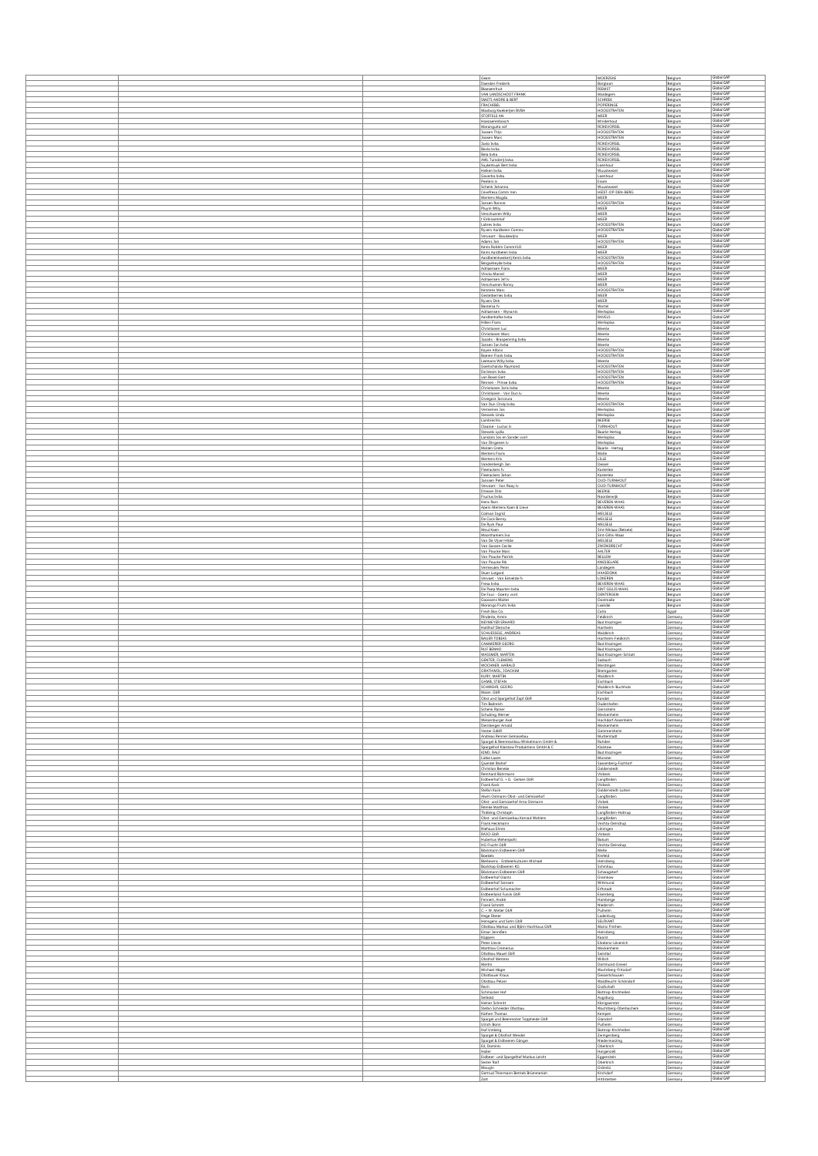|  | Geant                                                                               | MOERZEKE                                      | Belgium                   | Global GAP                      |
|--|-------------------------------------------------------------------------------------|-----------------------------------------------|---------------------------|---------------------------------|
|  | Daerden Frederik                                                                    | Borgloon                                      | Belgium                   | Global GAP                      |
|  | Bloesemfruit<br>VAN LANDSCHOOT FRANK                                                | RIEMST<br>Maldegem                            | Belgium<br>Belgium        | Global GAF<br>Global GAP        |
|  | SMETS ANDRE & BERT                                                                  | SCHRIEK                                       | Belgium                   | Global GAP                      |
|  | FRACHIBEL<br>Maxburg Kwekerijen BVBA                                                | POPERINGE<br>HOOGSTRATEN                      | Belgium<br>Belgium        | Global GAP<br>Global GAP        |
|  | STOFFELS AN                                                                         | <b>MEER</b>                                   | Belgium                   | Global GAP<br>Global GAP        |
|  | Hoezaerenbosch<br>Moranguito vof                                                    | Minderhout<br><b>RIJKEVORSEL</b>              | Belgium<br>Belgium        | Global GAP                      |
|  | Joosen Thijs<br>Joosen Marc                                                         | HOOGSTRATEN<br>HOOGSTRATEN                    | Belgium<br>Belgium        | Global GAP<br>Global GAP        |
|  | Javio byba                                                                          | RIJKEVORSEL                                   | Belgium                   | Global GAP<br>Global GAP        |
|  | Bevio byba                                                                          | RIJKEVORSEL<br><b>RIJKEVORSEL</b>             | Belgium<br>Belgium        | Global GAP                      |
|  | Bela byba<br>AWL Tulnderlj byba<br>Suykerbuyk Bert byba                             | RIJKEVORSEL<br>Loenhout                       | Belgium<br>Belgium        | Global GAP<br>Global GAP        |
|  | Heiken byba                                                                         | Wuustwezel                                    | Belgium                   | Global GAP                      |
|  | Goverbo byba<br>Peeters Iv                                                          | Loenhout<br>Essen                             | Belgium<br>Belgium        | Global GAP<br>Global GAP        |
|  | Schenk Johanna                                                                      | Wuustwezel                                    | Belgium                   | Global GAP<br>Global GAP        |
|  | Cevefresa Comm Ver<br>Martens Magda                                                 | HEIST-OP-DEN-BERG<br>MEER                     | Belgium<br>Belgium        | Global GAP                      |
|  | Jansen Ronnie<br>Pluym Willy                                                        | HOOGSTRATEN<br>MEER                           | Belgium<br>Belgium        | Global GAP<br><b>Global GAP</b> |
|  | Verschueren Willy<br>t Eirbissemhof                                                 | MEER                                          | Belgium                   | Global GAF<br>Global GAP        |
|  | Labres byba                                                                         | MEER<br>HOOGSTRATEN                           | Belgium<br>Belgium        | Global GAP                      |
|  | Ryvers Aardbeien Commy<br>Vervoort - Boudewijns                                     | HOOGSTRATEN<br><b>MEER</b>                    | Belgium<br>Belgium        | Global GAF<br>Global GAP        |
|  | Adams Jan<br>Kenis Robbin CommVLO                                                   | HOOGSTRATEN<br>MEER                           | Belgium<br>Belgium        | Global GAP<br>Global GAF        |
|  | Kenis Aardbeien byba                                                                | <b>MEER</b>                                   | Belgium                   | Global GAP<br>Global GAP        |
|  | Aardbeienkwekerij Kenis byba<br>Bergseheyde byba                                    | HOOGSTRATEN<br><b>HOOGSTRATEN</b>             | Belgium<br>Belgium        | Global GAP                      |
|  | Adriaensen Frans<br>Vinckx Marcel                                                   | MEER<br>MEER                                  | Belgium<br>Belgium        | Global GAP<br>Global GAP        |
|  | Adriaensen Jef Iv                                                                   | MEER                                          | Belgium                   | Global GAP<br>Global GAP        |
|  | Verschueren Ronny<br>Kerstens Marc                                                  | <b>MEER</b><br><b>HOOGSTRATEN</b>             | Belgium<br>Belgium        | Global GAP                      |
|  | Gestelberries byba<br><b>Ryvers Dirk</b>                                            | <b>MEER</b><br>MEER                           | Belgium<br>Belgium        | Global GAP<br>Global GAP        |
|  | Basterca fv<br>Adriaensen - Wynants                                                 | Wortel<br>Merksplas                           | Belgium<br>Belgium        | Global GAF<br>Global GAP        |
|  | Aardbeihofke byba                                                                   | RAVELS                                        | Belgium                   | Global GAP                      |
|  | Hillen Frans<br>Christianen Luc                                                     | Merksplas<br>Meerle                           | Belgium<br><b>Belgium</b> | Global GAP<br>Global GAP        |
|  | Christianen Marc<br>Jacobs - Braspenning byba                                       | Meerle<br>Meerle                              | Belgium<br>Belgium        | Global GAP<br>Global GAP        |
|  | Jansen Jan byba                                                                     | Meerle                                        | Belgium                   | Global GAP                      |
|  | Koyen Alfons<br>Boeren Frank byba                                                   | <b>HOOGSTRATEN</b><br>HOOGSTRATEN             | Belgium<br>Belgium        | Global GAP<br>Global GAP        |
|  | Leemans Willy byba<br>Goetschalckx Raymond                                          | Meerle<br><b>HOOGSTRATEN</b>                  | Belgium<br>Belgium        | <b>Global GAP</b><br>Global GAP |
|  | De biesm byba                                                                       | <b>HOOGSTRATEN</b>                            | Belgium                   | Global GAP<br>Global GAP        |
|  | van Boxel Gert<br>Rennen - Prinse byba                                              | HOOGSTRATEN<br>HOOGSTRATEN                    | Belgium<br>Belgium        | Global GAP                      |
|  | Christianen Joris byba<br>Christianen - Van Dun Iv                                  | Meerle<br>Meerle                              | Belgium<br>Belgium        | Global GAP<br>Global GAP        |
|  | Grzegorz Janczura                                                                   | Meerle                                        | Belgium                   | Global GAF<br>Global GAP        |
|  | Van Dun Cindy byba<br>Vermeiren Jos                                                 | HOOGSTRATEN<br>Merksplas                      | Belgium<br>Belgium        | Global GAP                      |
|  | Stessels Linda<br>Lambrechts                                                        | Merksplas<br>BEERSE                           | Belgium<br>Belgium        | Global GAP<br>Global GAP        |
|  | Claasse - Lucius Iv                                                                 | TURNHOUT                                      | Belgium                   | Global GAF<br>Global GAP        |
|  | Stessels Lydia<br>Lanslots Jos en Sander warl                                       | Baarle-Hertog<br>Merksplas                    | Belgium<br>Belgium        | <b>Global GAP</b>               |
|  | Van Dingenen Iv<br>Mollen Greta                                                     | Merksplas<br>Baarle - Hertog                  | Belgium<br>Belgium        | Global GAP<br>Global GAP        |
|  | Mertens Frans                                                                       | Malle                                         | Belgium                   | Global GAP                      |
|  | Mertens Kris<br>Vandenbergh Jan                                                     | LILLE<br>Dessel                               | Belgium<br>Belgium        | Global GAP<br>Global GAP        |
|  | Fleerackers fv<br>Fleerackers Johan                                                 | Kasteriee<br>Kasteriee                        | Belgium<br>Belgium        | Global GAP<br>Global GAP        |
|  | Janssen Peter                                                                       | <b>OUD-TURNHOUT</b>                           | Belgium                   | Global GAP                      |
|  | Vervoort - Van Rooy Iv<br>Driesen Dirk                                              | <b>OUD-TURNHOUT</b><br>BEERSE                 | Belgium<br>Belgium        | Global GAP<br>Global GAP        |
|  | Fructus byba                                                                        | Noorderwijk                                   | Belgium                   | Global GAP<br>Global GAF        |
|  | Hens Rani<br>Apers-Mertens Koen & Lieve                                             | <b>BEVEREN-WAAS</b><br>BEVEREN-WAAS           | Belgium<br>Belgium        | Global GAP                      |
|  | Colman Ingrid<br>De Cock Benny                                                      | MELSELE<br>MELSELE                            | Belgium<br>Belgium        | Global GAP<br>Global GAP        |
|  | De Ryck Paul                                                                        | MELSELE                                       | Belgium                   | Global GAP<br>Global GAP        |
|  | Meul Koen<br>Moorthamers Ivo                                                        | Sint-Niklaas (Belsele)<br>Sint-Gillis-Waas    | Belgium<br>Belgium        | Global GAP                      |
|  | Van De Vijver Hilde<br>Van Gassen Cecile                                            | MELSELE<br>ZWIJNDRECHT                        | Belgium<br>Belgium        | Global GAP<br>Global GAP        |
|  | Van Poucke Marc                                                                     | AALTER                                        | Belgium                   | Global GAP<br>Global GAP        |
|  | Van Poucke Patrick<br>Van Poucke Rik                                                | <b>BELLEM</b><br>KNESSELARE                   | Belgium<br>Belgium        | Global GAP                      |
|  | Vermeulen Peter<br>Stuer Lutgard                                                    | Landegem<br>HAASDONK                          | Belgium<br>Belgium        | Global GAP<br>Global GAP        |
|  | Vervaet - Van Eetvelde fy                                                           | LOKEREN<br>BEVEREN-WAAS                       | Belgium<br>Belgium        | Global GAF<br>Global GAP        |
|  | Fresa byba<br>De Paep Maarten byba                                                  | SINT GILLIS WAAS                              | Belgium                   | Global GAP                      |
|  | De Four - Goetry wzrl<br>Goossens Walter                                            | DENTERGEM<br>Oostmalle                        | Belgium<br>Belgium        | Global GAP<br>Global GAP        |
|  | Morango Fruits byba<br>Fresh Box Co.                                                | Laakdal<br>Caliro                             | Belgium<br>Egypt          | Global GAP<br>Global GAP        |
|  | Rinderle, Armin                                                                     | Feldkirch                                     | Germany                   | Global GAP                      |
|  | NEYMEYER ERHARD<br>Hollihof Dietsche                                                | <b>Bad Krozingen</b><br>Hartheim              | Germany<br>Germany        | Global GAP<br>Global GAP        |
|  | SCHUESSELE, ANDREAS<br><b>BAUER TOBIAS</b>                                          | Waldkirch<br>Harthelm-Feldkint                | Germany<br>Germany        | Global GAP<br>Global GAP        |
|  | CAMMERER GEORG                                                                      | <b>Bad Krozingen</b>                          | Germany                   | Global GAP                      |
|  | RUF BENNO<br>WASSMER, MARTIN                                                        | <b>Bad Krozingen</b><br>Bad Krozingen-Schlatt | Germany<br>Germany        | Global GAP<br>Global GAF        |
|  | <b>GENTER, CLEMENS</b><br>WOCHNER, HARALD                                           | Sasbach<br>Merdingen                          | Germany<br>Germany        | Global GAP<br>Global GAP        |
|  | GRATHWOL, JOACHIM                                                                   | Bremgarten                                    | Germany                   | Global GAF<br>Global GAP        |
|  | KURY, MARTIN<br>GAMB, STEFAN                                                        | Waldkirch<br>Eschbach                         | Germany<br>Germany        | Global GAP                      |
|  | SCHWEHR, GEOR<br>Maier, GbR                                                         | Naldkirch-Bu<br>Eschbach                      | Germany<br>Germany        | Global GAP                      |
|  | Obst und Spargelhof Zapf GbR                                                        | Kandel                                        | Germany                   | Global GAP                      |
|  | Tim Ballreich<br>Schenk Rainer                                                      | Dudenhofen<br>Gernsheim                       | Germany<br>Germany        | Global GAP<br>Global GAP        |
|  | Schubling Werner<br>Weisenburger Axel                                               | Meckenheim<br>Hochdorf-Assenheim              | Germany<br>Germany        | Global GAP<br>Global GAP        |
|  | Demberger Arnold                                                                    | Meckenhelm                                    | Germany                   | Global GAP<br>Global GAP        |
|  | Vester GdbR<br>Andreas Renner Gemüsebau                                             | Gommersheim<br>Mutterstadt                    | Germany<br>Germany        | Global GAP                      |
|  | Spargel & Beerenanbau Winkelmann GmbH &<br>Spargelhof Klaistow Produktions GmbH & C | Rahden<br>Klaistow                            | Germany<br>Germany        | Global GAP<br>Global GAP        |
|  | KIND, RALF<br>Lütke Laxen                                                           | <b>Bad Krozingen</b>                          | Germany                   | Global GAP<br>Global GAP        |
|  | Querdel Biohof                                                                      | Münster<br>Sassenberg-Füchtorf                | Germany<br>Germany        | Global GAP                      |
|  | Christian Beneke<br>Reinhard Bührmann                                               | Goldenstedt<br>Visbeck                        | Germany<br>Germany        | Global GAP<br>Global GAP        |
|  | Erdbeerhof G. + G. Gerken GbR<br>Frank Kock                                         | Langförden<br>Visbeck                         | Germany<br>Germany        | Global GAP<br>Global GAP        |
|  | Stefan Kock<br>Alwin Ostmann Obst- und Gemüsehof                                    | Goldenstedt-Lutten<br>Langförden              | Germany<br>Germany        | Global GAP<br>Global GAP        |
|  | Obst- und Gemüsehof Arno Ostmann                                                    | Visbek                                        | Germany                   | Global GAP                      |
|  | Reinke Matthias<br>Thölking Christoph                                               | Visbek<br>Langförden-Holtrup                  | Germany<br>Germany        | Global GAP<br>Global GAP        |
|  | Obst- und Gemüsebau Konrad Wohlers<br>Frank Heckmann                                | Langförden<br>Vechta-Deindrup                 | Germany<br>Germany        | Global GAP<br>Global GAP        |
|  | Niehaus Ehren<br>RAJO-GbR                                                           | Löningen                                      | Germany                   | Global GAP<br>Global GAP        |
|  | <b>Hubertus Wehenpohl</b>                                                           | <b>Visbeck</b><br>Bakum                       | Germany<br>Germany        | Global GAP                      |
|  | HG Frucht GbR<br>Böckmann Erdbeeren GbR                                             | Vechta-Deindrup<br>Melle                      | Germany<br>Germany        | Global GAP<br>Global GAP        |
|  | Bookels                                                                             | Krefeld                                       | Germany                   | Global GAP<br>Global GAP        |
|  | Bleilevens - Erdbeerkulturen Michael<br>Bockhop Erdbeeren KG                        | Heinsberg<br>Schmilau                         | Germany<br>Germany        | Global GAP<br>Global GAP        |
|  | Böckmann Erdbeeren GbR<br>Erdbeerhof Glantz                                         | Schwagstorf<br>Gramkow                        | Germany<br>Germany        | Global GAP                      |
|  | Erdbeerhof Janssen<br>Erdbeerhof Schumacher                                         | Wittmund<br>Erftstadt                         | Germany<br>Germany        | Global GAP<br>Global GAP        |
|  | Erdbeerland Funck GbR                                                               | Eisenberg                                     | Germany                   | Global GAP<br>Global GAP        |
|  | Fennert, André<br>Frank Schmitt                                                     | Hamberge<br>Niederich                         | Germany<br>Germany        | Global GAP                      |
|  | $C. + W.$ Meller GbR<br>Hege Dieter                                                 | Pulhelm<br>Ladenburg                          | Germany<br>Germany        | Global GAP<br>Global GAP        |
|  | Hensgens und Sohn GbR                                                               | SELFKANT                                      | Germany                   | Global GAP<br>Global GAP        |
|  | Obstbau Markus und Blörn Hochhaus GbR<br>Elmar Jennißen                             | Mainz Finthen<br>Heinsberg                    | Germany<br>Germany        | Global GAP                      |
|  | Küppers<br>Peter Lievre                                                             | Kaarst<br>Erkelenz-Lövenich                   | Germany<br>Germany        | Global GAP<br>Global GAP        |
|  | Matthias Cremerius                                                                  | Meckenheim<br>Swisttal                        | Germany                   | Global GAP<br>Global GAP        |
|  | Obstbau Mauel GbR<br><b>Obsthof Mertens</b>                                         | Willich                                       | Germany<br>Germany        | Global GAP                      |
|  | Mertin<br>Michael Häger                                                             | Dortmund-Grevel<br>Wachtberg-Fritzdorf        | Germany<br>Germany        | Global GAP<br>Global GAP        |
|  | <b>Obstbauer Kraus</b>                                                              | Gessertshausen                                | Germany                   | Global GAP<br>Global GAP        |
|  | Obstbau Pelzer<br>Rech                                                              | Waldfeucht-Schöndorf<br>Grafschaft            | Germany<br>Germany        | Global GAP                      |
|  | Schmücker Hof<br>Selbold                                                            | Bottrop-Kirchhellen<br>Augsburg               | Germany<br>Germany        | Global GAP<br>Global GAP        |
|  | <b>Heiner Schmitt</b>                                                               | Könloswinter                                  | Germany                   | Global GAP<br>Global GAP        |
|  | Stefan Schneider Obstbau<br>Küthen Thomas                                           | Wachtberg-Oberbachem<br>Kempen                | Germany<br>Germany        | Global GAP                      |
|  | Spargel und Beerenobst Toppheide GbR<br>Ulrich Bonn                                 | Glandorf<br>Pulhelm                           | Germany<br>Germany        | Global GAP<br>Global GAP        |
|  | Hof Umberg<br>Spargel & Obsthof Wendel                                              | Bottrop-Kirchhellen<br>Zwingenberg            | Germany<br>Germany        | Global GAP<br>Global GAP        |
|  | Spargel & Erdbeeren Gänger                                                          | Niedermotzing                                 | Germany                   | Global GAP<br>Global GAP        |
|  | Ell, Dominic<br>Haller                                                              | Oberkirch<br>Horgenzell                       | Germany<br>Germany        | Global GAP                      |
|  | Erdbeer- und Spargelhof Markus Leicht<br>Sester Ralf                                | Eggenstein<br>Oberkirch                       | Germany<br>Germany        | Global GAP<br>Global GAP        |
|  | Mougin                                                                              | Grömitz                                       | Germany                   | Global GAP<br><b>Global GAP</b> |
|  | Gertrud Thiermann Betrieb Brümmerloh                                                | Kirchdorf<br>Hittistetten                     | Germany<br>Germany        | ilobal GAP                      |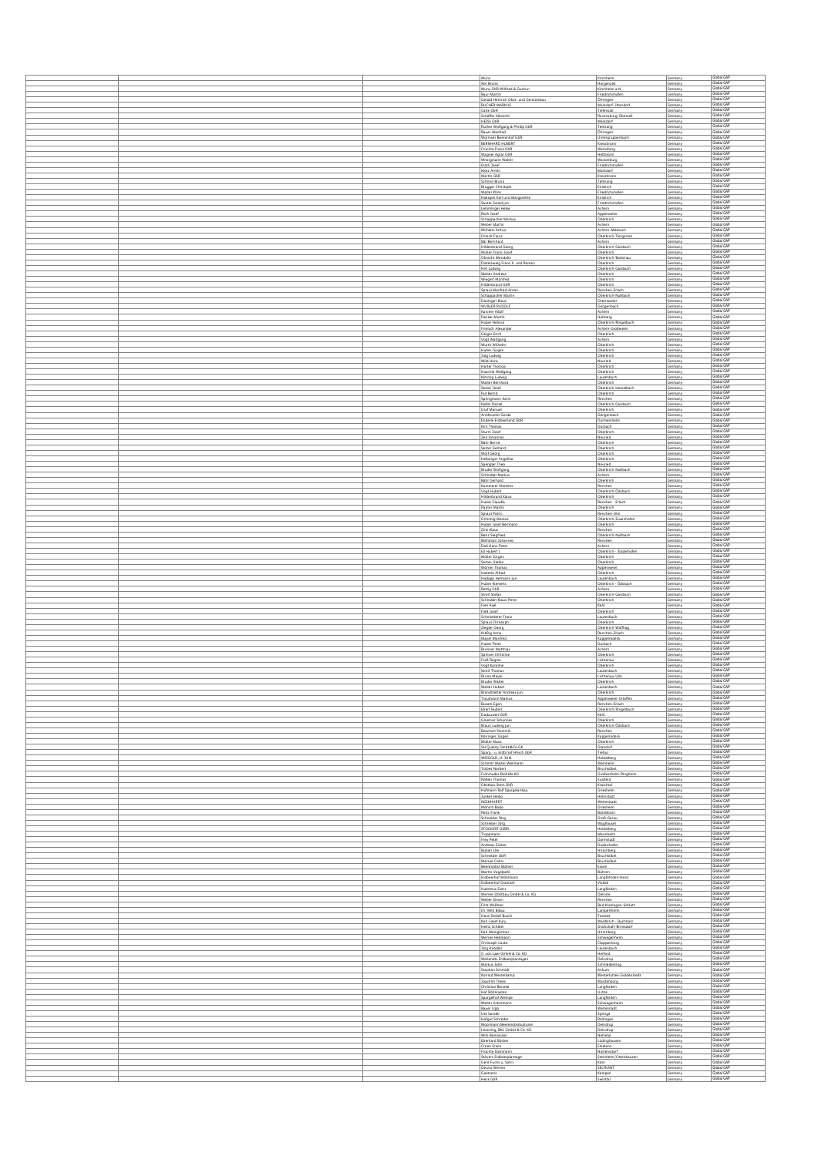|  | Munz                                                      | Kirchheim                                     | Germany            | Global GAP                             |
|--|-----------------------------------------------------------|-----------------------------------------------|--------------------|----------------------------------------|
|  | Abt Bruno                                                 | Horgenzell                                    | Germany            | Global GAP                             |
|  | Munz GbR Wilfried & Gudrun<br>Baur Martin                 | Kirchheim a.N.<br>Friedrichshafen             | Germany<br>Germany | Global GAP<br>Global GAP               |
|  | Gerald Heinrich Obst- und Gemüsebau                       | Ohringen                                      | Germany            | Global GAP                             |
|  | <b>BUCHER MARKUS</b><br>Carle GbR                         | Markdorf-Ittendorf<br>Tiefensall              | Germany<br>Germany | Global GAP<br>Global GAF               |
|  | Schäffer Albrecht                                         | Ravensburg-Oberzel                            | Germany            | Global GAP<br>Global GAP               |
|  | HEISS GbR<br>Ruther Wolfgang & Phillip GbR                | Markdorf<br>Tettnang                          | Germany<br>Germany | Global GAP                             |
|  | Bauer Manfred                                             | Öhringen                                      | Germany            | Global GAP<br>Global GAP               |
|  | Wormser Beerenhof GbR<br>BERNHARD HUBERT                  | Untergruppenbach<br>Kressbronn                | Germany<br>Germany | Global GAP                             |
|  | Früchte Frank GbR<br>Wagner Agrar GbR                     | Weinsberg<br>Heilbronn                        | Germany<br>Germany | Global GAP<br>Global GAP               |
|  | Witzigmann Walter                                         | Wasserburg                                    | Germany            | Global GAP                             |
|  | Erath Josef<br>Klotz Armin                                | Friedrichshafe<br>Markdorf                    | Germany<br>Germany | Global GAP<br>Global GAP               |
|  | Martin GbR                                                | Kressbronn                                    | Germany            | Global GAP<br>Global GAP               |
|  | Schmid Bruno<br>Brugger Christoph                         | Tettnang<br>Eriskirch                         | Germany<br>Germany | Global GAP                             |
|  | Walter Klink                                              | Friedrichshafer                               | Germany            | Global GAP<br>Global GAP               |
|  | Hakspiel Karl und Margarethe<br>Sauter Ewald lun.         | Eriskirch<br>Friedrichshafen                  | Germany<br>Germany | Global GAP                             |
|  | Lemminger Heike<br>Roth Josef                             | Achem<br>Appenweier                           | Germany<br>Germany | Global GAP<br>Global GAP               |
|  | Schappacher Markus                                        | Oberkirch                                     | Germany            | Global GAP                             |
|  | Weber Martin<br>Wilhelm Arthur                            | Achem<br>Achern-Mösbach                       | Germany<br>Germany | Global GAP<br>Global GAP               |
|  | Fritsch Franz                                             | Oberkirch-Tiergarten                          | Germany            | Global GAP                             |
|  | Bär Bernhard<br><b>Hildenbrand Georg</b>                  | Achern<br>Oberkirch-Gaisbach                  | Germany<br>Germany | Global GAP<br>Global GAP               |
|  | Müller Franz-Josef                                        | Oberkirch                                     | Germany            | Global GAP<br>Global GAP               |
|  | <b>Obrecht Wendelin</b><br>Distelzweig Franz X. und Roman | Oberkirch-Bott<br>Oberkirch                   | Germany<br>Germany | Global GAP                             |
|  | Hirt Ludwig                                               | Oberkirch-Galsbach                            | Germany            | Global GAP<br>Global GAP               |
|  | Walter Andreas<br>Wiegert Manfred                         | Oberkirch<br>Oberkirch                        | Germany<br>Germany | Global GAP                             |
|  | Hildenbrand GbR<br>Spraul Manfred-Anton                   | Oberkirch<br>Renchen-Erlach                   | Germany<br>Germany | Global GAP<br>Global GAP               |
|  | Schappacher Martin                                        | Oberkirch-Nußbach                             | Germany            | Global GAP                             |
|  | Doninger Klaus<br><b>WUBLER RUDOLF</b>                    | Ottersweier<br>Gengenbach                     | Germany<br>Germany | Global GAP<br>Global GAP               |
|  | Karcher Adolf                                             | <b>Achem</b>                                  | Germany            | Global GAP<br>Global GAP               |
|  | Decker Martin<br><b>Huber Helmut</b>                      | Hohberg<br>Oberkirch-Ringelbach               | Germany<br>Germany | Global GAP                             |
|  | Frietsch Alexander<br>Geiger Erich                        | Achern-Großweier<br>Oberkirch                 | Germany            | Global GAP<br>Global GAP               |
|  | Vogt Wolfgang                                             | Achem                                         | Germany<br>Germany | Global GAP                             |
|  | Wurth Wilhelm<br>Huber Jürgen                             | Oberkirch<br>Oberkirch                        | Germany<br>Germany | Global GAP<br>Global GAP               |
|  | Jülg Ludwig                                               | Oberkirch                                     | Germany            | Global GAP                             |
|  | Mild Hans<br><b>Harter Thomas</b>                         | Neuried<br>Oberkirch                          | Germany<br>Germany | Global GAP<br>Global GAP               |
|  | Huschle Wolfgang                                          | Oberkirch                                     | Germany            | Global GAP                             |
|  | Kimmig Ludwig<br><b>Walter Bernhard</b>                   | Lautenbach<br>Oberkirch                       | Germany<br>Germany | Global GAP<br>Global GAP               |
|  | Sester Josef                                              | Oberkirch-Hesselbach                          | Germany            | Global GAP<br>Global GAP               |
|  | Ruf Bernd<br>Springmann Karin                             | Oberkirch<br>Renchen                          | Germany<br>Germany | Global GAP                             |
|  | Kiefer Daniel                                             | Oberkirch-Gaisbach                            | Germany            | Global GAP                             |
|  | Graf Manuel<br>Armbruster Gerda                           | Oberkirch<br>Gengenbach                       | Germany<br>Germany | Global GAP<br>Global GAP               |
|  | Enderle Erdbeerland GbR                                   | Durmershelm                                   | Germany            | Global GAP<br>Global GAF               |
|  | Kirn Thomas<br>Sturm Josef                                | Durbach<br>Oberkirch                          | Germany<br>Germany | Global GAP                             |
|  | Zeil Johannes<br>Bähr Bernd                               | Neuried<br>Oberkirch                          | Germany<br>Germany | Global GAP<br>Global GAP               |
|  | Sester Gerhard                                            | Oberkirch                                     | Germany            | Global GAP                             |
|  | Wolf Georg<br>Helberger Angelika                          | Oberkirch<br>Oberkirch                        | Germany<br>Germany | Global GAP<br>Global GAP               |
|  | Spengler Theo                                             | Neuried                                       | Germany            | Global GAP                             |
|  | <b>Bruder Wolfgang</b>                                    | Oberkirch-Nußbach                             | Germany            | Global GAP<br>Global GAP               |
|  | Schindler Markus<br>Bähr Gerhard                          | Achem<br>Oberkirch                            | Germany<br>Germany | Global GAP                             |
|  | Kammerer Klemens                                          | Renchen                                       | Germany            | Global GAP<br>Global GAP               |
|  | Voot Hubert<br><b>Hildenbrand Klaus</b>                   | Oberkirch-Ödsbach<br>Oberkirch                | Germany<br>Germany | Global GAP                             |
|  | <b>Huber Claudia</b><br>Panter Martin                     | Renchen - Erlach<br>Oberkirch                 | Germany<br>Germany | Global GAP<br>Global GAP               |
|  | Spraul Patric                                             | Renchen-Ulm                                   | Germany            | Global GAP                             |
|  | Grimmig Markus<br>Huber Josef Bernhard                    | Oberkirch-Zusenhofen<br>Oberkirch             | Germany<br>Germany | Global GAP<br>Global GAP               |
|  | Zink Klaus                                                | Renchen                                       | Germany            | Global GAP                             |
|  | Benz Slegfried<br>Biehlman Johannes                       | Oberkirch-NuBbach<br>Renchen                  | Germany<br>Germany | Global GAP<br>Global GAP               |
|  | Doll Hans-Peter                                           | Achem.                                        | Germany            | Global GAP                             |
|  | Ell Hubert I<br>Müller Jürgen                             | Oberkirch - Stadelhofen<br>Oberkirch          | Germany<br>Germany | Global GAP<br>Global GAP               |
|  | Sester, Stefan                                            | Oberkirch                                     | Germany            | Global GAP<br>Global GAP               |
|  | Wörner Thomas<br>Haberle Alfred                           | Appenweier<br>Oberkirch                       | Germany<br>Germany | Global GAP                             |
|  | Hodapp Hermann fun<br>Huber Klemens                       | Lautenbach<br>Oberkirch - Ödsbach             | Germany<br>Germany | Global GAP<br>Global GAP               |
|  | Rettig GbR                                                | Achern                                        | Germany            | Global GAP                             |
|  | Streif Stefan<br>Schindler Klaus-Peter                    | Oberkirch-Gaisbach<br>Oberkirch               | Germany<br>Germany | Global GAP<br>Global GAP               |
|  | Fien Axel                                                 | Kehl                                          | Germany            | Global GAP<br>Global GAP               |
|  | Fieß Josef<br>Schmiederer Franz                           | Oberkirch<br>Lautenbach                       | Germany<br>Germany | Global GAP                             |
|  | Spraul Christoph                                          | Oberkirch                                     | Germany            | Global GAP<br>Global GAP               |
|  | Ziegler Georg<br>Kraßig Anna                              | Oberkirch-Wolfhag<br>Renchen-Erlach           | Germany<br>Germany | Global GAP                             |
|  | Mayer Manfred<br>Huber Peter                              | Kappelrodeck<br>Durbach                       | Germany<br>Germany | Global GAP<br>Global GAP               |
|  | Brunner Matthias                                          | Achem                                         | Germany            | Global GAP                             |
|  | Spinner Christine<br>Fraß Regina                          | Oberkirch<br>Lichtenau                        | Germany<br>Germany | Slobal GAF<br>Global GAP               |
|  | Vogt Karoline                                             | Oberkirch                                     | Germany            | Global GAP<br>Global GAF               |
|  | Streif Thomas<br>Bruno Meyer                              | Lautenbach<br>Lichtenau-Lilm                  | Germany<br>Germany | Global GAP                             |
|  | <b>Bruder Walter</b>                                      | Oberkirch                                     | Germany            | Global GAP                             |
|  | Walter Hubert<br>Brandstetter Andreas jun.                | Lautenbach<br>Oberkirch                       | Germany<br>Germany | Global GAP                             |
|  | Trautmann Markus<br>Busam Egon                            | Appenweier-Urloffen<br>Renchen-Erlach         | Germany<br>Germany | Global GAP<br>Global GAP               |
|  | Ebert Hubert                                              | Oberkirch-Ringelbach                          | Germany            | Global GAP                             |
|  | Dodzuweit GbR<br>Gmeiner Johannes                         | Kehl<br>Oberkirch                             | Germany<br>Germany | Global GAP<br>Global GAP               |
|  | Braun Ludwig jun.                                         | Oberkirch-Ödsbach                             | Germany            | Global GAP<br>Global GAP               |
|  | Boschert Dominik                                          | Renchen                                       |                    |                                        |
|  | Köninger Jürgen                                           | Kappelrodeck                                  | Germany<br>Germany | Global GAP                             |
|  | Müller Klaus                                              | Oberkirch                                     | Germany            | Global GAP                             |
|  | SH Quality GmbH&Co.GK<br>Sparg - u. Erdb.hof Hirsch GbR   | Glandorf<br>Trebut                            | Germany<br>Germany | Global GAP<br>Global GAP               |
|  | WEIGOLD, H. JUN.<br>Schmitt Walter Weinheim               | Heidelberg<br>Weinheim                        | Germany<br>Germany | Global GAP<br>Global GAP               |
|  | <b>Trabes Norbert</b>                                     | Bruchköbel                                    | Germany            | Global GAP                             |
|  | Frohmader Blohofe KG<br>Rößler Thomas                     | Großostheim-Ringheim<br>Suizfeld              | Germany<br>Germany | Global GAP<br>Global GAP               |
|  | Obstbau Stein GbR                                         | Kraichtal<br>Grieshelm                        | Germany            | Global GAP                             |
|  | Hofmann Ralf Spargelanbau<br>Junker Helko                 | Helmstadt                                     | Germany<br>Germany | Global GAP<br>Global GAP               |
|  | MEINHARDT<br>Mönich Bodo                                  | Weiterstadt<br>Grieshelm                      | Germany<br>Germany | Global GAP<br>Global GAP               |
|  | Reitz Frank                                               | Büttelborn                                    | Germany            | Global GAP                             |
|  | Schneider Jörg<br>Schreiber Jörg                          | Groß-Gerau<br>Waghäusel                       | Germany<br>Germany | Global GAP<br>Global GAP               |
|  | STOCKERT GEBS                                             | Heidelberg                                    | Germany            | Global GAP                             |
|  | Troppmann<br>Frey Peter                                   | Mannheim<br><b>Darmstadt</b>                  | Germany<br>Germany | Global GAP<br>Global GAP               |
|  | Andreas Zürker                                            | Dudenhofen                                    | Germany            | Global GAP<br>Global GAP               |
|  | Bühler Ute<br>Schneider GbR                               | Hirschberg<br>Bruchköbel                      | Germany<br>Germany | Global GAP                             |
|  | Werner Cohrs<br>Beerenobst Blömer                         | Bruchköbel<br>Essen                           | Germany<br>Germany | Global GAP<br>Global GAP               |
|  | Martin Vogelpohl                                          | Bühren                                        | Germany            | Global GAP                             |
|  | Erdbeerhof Möhlman<br>Erdbeerhof Osterloh                 | Langföhrden-Nord<br>Visbek                    | Germany<br>Germany | Global GAP<br>Global GAP               |
|  | <b>Hubertus Evers</b>                                     | Langförden                                    | Germany            | Global GAP<br>Global GAP               |
|  | Werner-Obstbau GmbH & Co. KG<br>Weber Simon               | Deinste<br>Renchen                            | Germany<br>Germany | Global GAP                             |
|  | Fritz Waßmer                                              | Bad Krozingen-Schlatt                         | Germany            | Global GAP<br>Global GAP               |
|  | Dr. Willi Billau<br>Hans-Detlef Busch                     | Lamperthelm<br>Tostedt                        | Germany<br>Germany | Global GAP                             |
|  | Karl-Josef Kury<br>Heinz Schäfer                          | Waldkirch - Buchholz<br>Grafschaft-Birresdorf | Germany<br>Germany | Global GAP<br>Global GAP               |
|  | Karl Weingärtner                                          | Hirschberg                                    | Germany            | Global GAP                             |
|  | Werner Hellmann<br>Christoph Lüske                        | Schwegenheim<br>Cloppenburg                   | Germany<br>Germany | Global GAP<br>Global GAP               |
|  | Jörg Knödler                                              | Leutenbach                                    | Germany            | Global GAP                             |
|  | C. von Laer GmbH & Co. KG<br>Wellandts Erdbeerplantagen   | Herford<br>Deindrup                           | Germany<br>Germany | Global GAP<br>Global GAP               |
|  | Markus Jahn                                               | Schniederkrug                                 | Germany            | Global GAP                             |
|  | Stephan Schmidt<br>Konrad Westerkamp                      | Ankum<br>Westerlutten-Goldenstedt             | Germany<br>Germany | Global GAP<br>Global GAP               |
|  | Joachim Thees                                             | Wardenburg                                    | Germany            | Global GAP<br>Global GAP               |
|  | Christian Beneke<br>Hof Röhrkasten                        | Langförden<br>Uchte                           | Germany<br>Germany | Global GAP                             |
|  | Spargelhof Wempe<br><b>Walter Ackermann</b>               | Langförden<br>Schwegenhein                    | Germany<br>Germany | Global GAP<br>Global GAP               |
|  | Bauer Lipp                                                | Weiterstadt                                   | Germany            | Global GAP                             |
|  | Ute Sander<br>Hofgut Schröder                             | Springe<br>Reilingen                          | Germany<br>Germany | Global GAP<br>Global GAP               |
|  | Moormann Beerenobstkulturen                               | Deindrup                                      | Germany            | Global GAP<br>Global GAP               |
|  | Levening, BKL GmbH & Co. KG<br>Willi Bonnacker            | Deindrup<br>Nettetal                          | Germany<br>Germany | Global GAP                             |
|  | Eberhard Böcker                                           | Lüdinghausen                                  | Germany            | Global GAP<br>Global GAP               |
|  | Croon Erwin<br>Früchte Dammann                            | Erkelenz<br>Nottensdorf                       | Germany<br>Germany | Global GAP                             |
|  | Stövers Erdbeerplantage<br>Gerd Fuchs u. Sohn             | Steinheim/Ottenhausen<br>Köln                 | Germany<br>Germany | Global GAP<br>Global GAP               |
|  | Geurtz Werner<br>Goetzens                                 | SELFKANT<br>Kempen                            | Germany<br>Germany | Global GAP<br>Global GAP<br>Global GAP |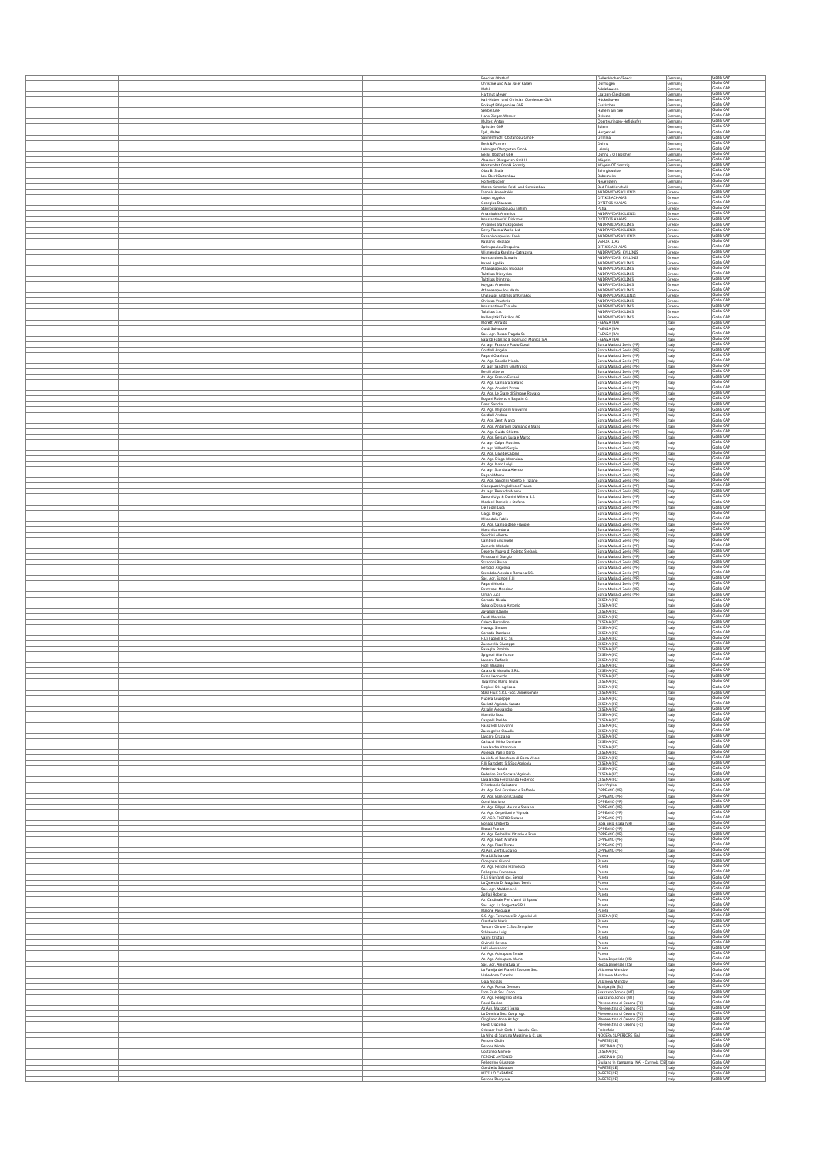|  |                                                                          |                                                                              |                    | Global GAF                             |
|--|--------------------------------------------------------------------------|------------------------------------------------------------------------------|--------------------|----------------------------------------|
|  | Beecker Obsthof<br>Christine und Max Josef Kallen                        | Gellenkirchen/Beeck<br>Dormagen                                              | Germany<br>Germany | Global GAP<br>Global GAP               |
|  | Mahl<br>Hartmut Meyer                                                    | Adelzhausen<br>Laatzen-Gleidingen                                            | Germany<br>Germany | Global GAF                             |
|  | Karl-Hubert und Christian Oberlender GbR<br>Rotkopf Eifelgemüse GbR      | Hückelhoven<br>Euskirchen                                                    | Germany<br>Germany | Global GAP<br>Global GAP               |
|  | Sebbel GbR                                                               | Haltern am See                                                               | Germany            | Global GAP<br>Global GAP               |
|  | Hans-Jürgen Werner<br>Multer, Anton                                      | Deinste<br>Oberteuringen-Hefigkofer                                          | Germany<br>Germany | Global GAP                             |
|  | Sprissler GbR<br>Igel, Walter                                            | Salem<br>Horgenzell                                                          | Germany<br>Germany | Global GAP<br>Global GAP               |
|  | Sonnenfrucht Obstanbau GmbH<br>Beck & Partner                            | Grimma<br>Dohna                                                              | Germany<br>Germany | Global GAP<br>Global GAP               |
|  | Leisniger Obstgarten GmbH                                                | Leisnig                                                                      | Germany            | Global GAP<br>Global GAP               |
|  | <b>Becks Obsthof GbR</b><br>Ablasser Obstgarten GmbH                     | Dohna / OT Bortha<br>Mügeln                                                  | Germany<br>Germany | Global GAF<br>Global GAP               |
|  | Klosterobst GmbH Sornzig<br>Obst B. Stolle                               | Mügeln OT Sornzig<br>Schirgiswalde                                           | Germany<br>Germany | Global GAP                             |
|  | Leo Ebert Gartenbau<br>Rothenbücher                                      | Bubeshelm<br>Neuenstein                                                      | Germany<br>Germany | Global GAP<br>Global GAP               |
|  | Marco Kemmler Feld- und Gemüsebau                                        | Bad Friedrichshall<br>ANDRAVIDAS KILLINIS                                    | Germany            | Global GAP<br>Global GAP               |
|  | Ioannis Arvanitakis<br>Lagos Aggelos                                     | <b>DITIKIS ACHAIAS</b>                                                       | Greece<br>Greece   | Global GAP                             |
|  | Georgios Diakatos<br>Stayroglannopoulou Eirhnh                           | <b>DYTITKIS AXAIAS</b><br>Patra                                              | Greece<br>Greece   | Global GAP<br>Global GAP               |
|  | Arvanitakis Antonios<br>Konstantinos V. Diakatos                         | ANDRAVIDAS KILLINIS<br>DYTITKIS AXAIAS                                       | Greece<br>Greece   | Global GAP<br>Global GAP               |
|  | Antonios Stathakopoulos                                                  | ANDRABIDAS KILINIS<br>ANDRAVIDAS KILLINIS                                    | Greece             | Global GAP<br>Global GAP               |
|  | Berry Plasma World Ltd<br>Papanikolopoulos Fanis                         | ANDRAVIDAS KILLINIS                                                          | Greece<br>Greece   | Global GAP                             |
|  | Kaplanis Nikolaos<br>Sotiropoulou Despoina                               | VARDA ILIAS<br>DITIKIS ACHAIAS                                               | Greece<br>Greece   | Global GAP<br>Global GAP               |
|  | Wisnienska Karolina-Katrazyna<br>Konstantinos Samaris                    | ANDRAVIDAS- KYLLINIS<br>ANDRAVIDAS- KYLLINIS                                 | Greece<br>Greece   | Global GAP<br>Global GAP               |
|  | Kapeli Agelika                                                           | ANDRAVIDAS KILINIS                                                           | Greece             | Global GAP<br>Global GAP               |
|  | Athanasopoulos Nikolaos<br>Taktikos Dionysios                            | ANDRAVIDAS KILINIS<br>ANDRAVIDAS KILINIS                                     | Greece<br>Greece   | Global GAP                             |
|  | <b>Taktikos Dimitrios</b><br>Koygias Artemios                            | ANDRAVIDAS KILINIS<br>ANDRAVIDAS KILINIS                                     | Greece<br>Greece   | Global GAF<br>Global GAP               |
|  | Athanasopoulou Maria<br>Chaloulos Andreas of Kyriakos                    | ANDRAVIDAS KILINIS<br>ANDRAVIDAS KILLINIS                                    | Greece<br>Greece   | Global GAP<br>Global GAP               |
|  | Christos Vrachnis                                                        | ANDRAVIDAS KILINIS                                                           | Greece             | Global GAP<br>Global GAP               |
|  | Konstantinos Tzoudas<br>Taktikos S.A.                                    | ANDRAVIDAS KILINIS<br>ANDRAVIDAS KILINIS                                     | Greece<br>Greece   | Global GAP                             |
|  | Kalliergitiki Taktikos OE<br>Moretti Arnaldo                             | ANDRAVIDAS KILINIS<br>FAENZA (RA)                                            | Greece<br>Italy    | Global GAP<br>Global GAP               |
|  | Guidi Salvatore<br>Soc. Agr. Rosso Fragola Ss                            | FAENZA (RA)<br>FAENZA (RA)                                                   | Italy<br>Italy     | Global GAP<br>Global GAP               |
|  | Baiardi Fabrizio & Golinucci Monica S.A.                                 | FAENZA (RA)                                                                  | Italy              | Global GAF<br>Global GAP               |
|  | Az. agr. Fausto e Paolo Dossi<br>Cordioli Angelo                         | Santa Maria di Zevio (VR)<br>Santa Maria di Zevio (VR)                       | Italy<br>Italy     | Global GAP                             |
|  | Pagani Gianluca<br>Az. Agr. Bosello Nicola                               | Santa Maria di Zevio (VR)<br>Santa Maria di Zevio (VR)                       | Italy<br>Italy     | Global GAF<br>Global GAP               |
|  | Az. agr. Sandrini Glanfranco<br>Bettili Alberto                          | Santa Maria di Zevio (VR)<br>Santa Maria di Zevio (VR)                       | Italy<br>Italy     | Global GAP<br>Global GAP               |
|  | Az, Agr, Franco Furlani                                                  | Santa Maria di Zevio (VR)                                                    | Italy              | Global GAP<br>Global GAP               |
|  | Az. Agr. Campara Stefano<br>Az. Agr. Anselmi Primo                       | Santa Maria di Zevio (VR)<br>Santa Maria di Zevio (VR)                       | Italy<br>Italy     | Global GAP                             |
|  | Az. Agr. Le Giare di Simone Roviaro<br>Bogoni Roberto e Bagolin G.       | Santa Maria di Zevio (VR)<br>Santa Maria di Zevio (VR)                       | Italy<br>Italy     | Global GAP<br>Global GAP               |
|  | Dossi Sandro                                                             | Santa Maria di Zevio (VR)                                                    | Italy              | Global GAP<br>Global GAP               |
|  | Az. Agr. Migliorini Giovanni<br>Cordioli Andrea                          | Santa Maria di Zevio (VR)<br>Santa Maria di Zevio (VR)                       | Italy<br>Italy     | Global GAP                             |
|  | Az. Agr. Zenti Marco<br>Az. Agr. Anderloni Damiano e Mario               | Santa Maria di Zevio (VR)<br>Santa Maria di Zevio (VR)                       | Italy<br>Italy     | Global GAP<br>Global GAP               |
|  | Az. Agr. Guido Ghiotto<br>Az. Agr. Bersani Luca e Marco                  | Santa Maria di Zevio (VR)<br>Santa Maria di Zevio (VR)                       | Italy<br>Italy     | Global GAP<br>Global GAP               |
|  | Az. agr. Colpo Massimo                                                   | Santa Maria di Zevio (VR)                                                    | Italy              | Global GAP                             |
|  | Az. agr. Villardi Sergio<br>Az. Agr. Davide Caloini                      | Santa Maria di Zevio (VR)<br>Santa Maria di Zevio (VR)                       | Italy<br>Italy     | Global GAF<br>Global GAP               |
|  | Az. Agr. Diego Mirandola<br>Az. Agr. Noro Luigi                          | Santa Maria di Zevio (VR)<br>Santa Maria di Zevio (VR)                       | Italy<br>Italy     | Global GAP<br>Global GAP               |
|  | Az. agr. Scandola Alessio                                                | Santa Maria di Zevio (VR)                                                    | Italy              | Global GAP<br>Global GAP               |
|  | Pagani Marco<br>Az. Agr. Sandrini Alberto e Tiziano                      | Santa Maria di Zevio (VR)<br>Santa Maria di Zevio (VR)                       | Italy<br>Italy     | Global GAP                             |
|  | Giacopuzzi Angiolino e Franco<br>Az, agr, Perandin Marco                 | Santa Maria di Zevio (VR)<br>Santa Maria di Zevio (VR)                       | Italy<br>Italy     | Global GAP<br>Global GAP               |
|  | Zanoni Ugo & Donini Milena S.S.<br>Modesti Daniele e Stefano             | Santa Maria di Zevio (VR)<br>Santa Maria di Zevio (VR)                       | Italy<br>Italy     | Global GAP<br>Global GAP               |
|  | De Togni Luca                                                            | Santa Maria di Zevio (VR)                                                    | Italy              | Global GAP<br>Global GAP               |
|  | Gaiga Diego<br>Mirandola Fabio                                           | Santa Maria di Zevio (VR)<br>Santa Maria di Zevio (VR)                       | Italy<br>Italy     | Global GAP                             |
|  | Az. Agr. Campo delle Fragole<br>Marchi Loredana                          | Santa Maria di Zevio (VR)<br>Santa Maria di Zevio (VR)                       | Italy<br>Italy     | Global GAP<br>Global GAP               |
|  | Sandrini Alberto                                                         | Santa Maria di Zevio (VR)                                                    | Italy              | Global GAF<br>Global GAP               |
|  | Cambioli Emanuele<br>Zumerle Michele                                     | Santa Maria di Zevio (VR)<br>Santa Maria di Zevio (VR)                       | Italy<br>Italy     | Global GAP                             |
|  | Deserto Nuovo di Poletto Stefania<br>Pimazzoni Glorgio                   | Santa Maria di Zevio (VR)<br>Santa Maria di Zevio (VR)                       | Italy<br>Italy     | Global GAF<br>Global GAP               |
|  | Scardoni Bruno<br>Bertoldi Angelina                                      | Santa Maria di Zevio (VR)<br>Santa Maria di Zevio (VR)                       | Italy<br>Italy     | Global GAP<br>Global GAF               |
|  | Scandola Alessio e Romano S.S.                                           | Santa Maria di Zevio (VR)                                                    | Italy              | Global GAP                             |
|  | Soc. Agr. Sartori F.III<br>Pagani Nicola                                 | Santa Maria di Zevio (VR)<br>Santa Maria di Zevio (VR)                       | Italy<br>Italy     | Global GAP<br>Global GAP               |
|  | Fontanesi Massimo<br>Ciman Luca                                          | Santa Maria di Zevio (VR)<br>Santa Maria di Zevio (VR)                       | Italy<br>Italy     | Global GAP<br>Global GAP               |
|  | Corrado Nicola                                                           | CESENA (FC)<br>CESENA (FC)                                                   | Italy              | Global GAP<br>Global GAP               |
|  | Sabato Donato Antonio<br>Zavalloni Danilo                                | CESENA (FC)                                                                  | Italy<br>Italy     | Global GAP                             |
|  | Faedi Marcello<br>Grieco Berardino                                       | CESENA (FC)<br>CESENA (FC)                                                   | Italy<br>Italy     | Global GAP<br>Global GAP               |
|  | Novaga Simone<br>Corrado Damiano                                         | CESENA (FC)<br>CESENA (FC)                                                   | Italy<br>Italy     | Global GAF<br>Global GAP               |
|  | F.Lii Fagloli & C. Ss.                                                   | CESENA (FC)                                                                  | Italy              | Global GAP<br>Global GAP               |
|  | Zuccarella Giuseppe<br>Ravaglia Patrizia                                 | CESENA (FC)<br>CESENA (FC)                                                   | Italy<br>Italy     | Global GAP                             |
|  | Spignoli Gianfranco<br>Lascaro Raffaele                                  | CESENA (FC)<br>CESENA (FC)                                                   | Italy<br>Italy     | Global GAP<br>Global GAP               |
|  | Flori Massimo<br>Cafaro & Manolio S.R.L.                                 | CESENA (FC)<br>CESENA (FC)                                                   | Italy<br>Italy     | Global GAP<br>Global GAP               |
|  | Fulna Leonardo                                                           | CESENA (FC)                                                                  | Italy              | Global GAP<br>Global GAP               |
|  | Tarantino Maria Giulia<br>legiovi Sris Agrico                            | CESENA (FC)<br>CESENA (FC                                                    | Italy<br>Italy     | Slobal GA                              |
|  | Stasi Fruit S.R.L-Soc.Unipersonale<br>Nucera Giuseppe                    | CESENA (FC)<br>CESENA (FC)                                                   | Italy<br>Italy     | Global GAP<br>Global GAP               |
|  | Società Agricola Sabato<br>Azzalin Alessandro                            | CESENA (FC)<br>CESENA (FC)                                                   | Italy<br>Italy     | Global GAF<br>Global GAP               |
|  | Manolio Rosa                                                             | CESENA (FC)                                                                  | Italy              | Global GAP                             |
|  | Cappelli Paride<br>Passarelli Giovanni                                   | CESENA (FC)<br>CESENA (FC)                                                   | Italy<br>Italy     | Global GAP<br>Global GAP               |
|  | Zaccagnino Claudio<br>Lascaro Graziano                                   | CESENA (FC)<br>CESENA (FC)                                                   | Italy<br>Italy     | Global GAP<br>Global GAF               |
|  | Carlucci Mirko Damiano<br>Lasalandra Vitorocco                           | CESENA (FC)<br>CESENA (FC)                                                   | Italy<br>Italy     | Global GAP<br>Global GAP               |
|  | Assenza Parisi Dario                                                     | CESENA (FC)                                                                  | Italy              | Global GAP<br>Global GAP               |
|  | La Linfa di Bacchues di Gona Vito e<br>F.III Bartoletti S.S.Soc.Agricola | CESENA (FC)<br>CESENA (FC)                                                   | Italy<br>Italy     | Global GAF                             |
|  | Federico Natale<br>Federico Sris Societa' Agricola                       | CESENA (FC)<br>CESENA (FC)                                                   | Italy<br>Italy     | Global GAP<br>Global GAP               |
|  | Lasalandra Ferdinando Federico<br>D'Ambrosio Salvatore                   | CESENA (FC)<br>Sant'Arpino                                                   | Italy<br>Italy     | Global GAP<br>Global GAP               |
|  | Az. Agr. Poli Graziano e Raffaele<br>Az. Agr. Blanconi Claudio           | OPPEANO (VR)<br>OPPEANO (VR)                                                 | Italy<br>Italy     | Global GAP<br>Global GAP               |
|  | Conti Mariano                                                            | OPPEANO (VR)                                                                 | Italy              | Global GAP<br>Global GAP               |
|  | Az. Agr. Filippi Mauro e Stefano<br>Az. Agr. Cerpelloni e Vignola        | OPPEANO (VR)<br>OPPEANO (VR)                                                 | Italy<br>Italy     | Global GAP                             |
|  | AZ. AGR. FLORIO Stefano<br>Bonato Umberto                                | OPPEANO (VR)<br>Isola della scala (VR)                                       | Italy<br>Italy     | Global GAP<br>Global GAP               |
|  | Bissoli Franco<br>Az. Agr. Perbellini Vittorio e Brun                    | OPPEANO (VR)<br>OPPEANO (VR)                                                 | Italy<br>Italy     | Global GAP<br>Global GAP               |
|  | Az. Agr. Fanti Michele<br>Az. Agr. Rizzi Renzo                           | OPPEANO (VR)                                                                 | Italy              | Global GAP<br>Global GAP               |
|  | Az Agr. Zenti Luciano                                                    | OPPEANO (VR)<br>OPPEANO (VR)                                                 | Italy<br>Italy     | Global GAP                             |
|  | Rinaldi Salvatore<br>Cleognani Gianni                                    | Parete<br>Parete                                                             | Italy<br>Italy     | Global GAP<br>Global GAP               |
|  | Az. Agr. Pezone Francesco<br>Pellegrino Francesco                        | Parete<br>Parete                                                             | Italy<br>Italy     | Global GAP<br>Global GAP               |
|  | F.Lli Gianfanti soc. Sempl                                               | Parete                                                                       | Italy              | Global GAP                             |
|  | La Quercia Di Magalotti Denis<br>Soc. Agr. Malden s.r.l                  | Parete<br>Parete                                                             | Italy<br>Italy     | Global GAP<br>Global GAP               |
|  | Zoffoli Roberto<br>Az. Cardinale Pie' d'armi di Spano'                   | Parete<br>Parete                                                             | Italy<br>Italy     | Global GAP<br>Global GAP               |
|  | Soc. Agr. La Sorgente S.R.L.                                             | Parete                                                                       | Italy              | Global GAP<br>Global GAP               |
|  | Maione Pasquale<br>S.S. Agr. Terramare Di Agostini Ali                   | Parete<br>CESENA (FC)                                                        | Italy<br>Italy     | Global GAP                             |
|  | Clardiello Maria<br>Tassani Gino e C. Soc Semplice                       | Parete<br>Parete                                                             | Italy<br>Italy     | Global GAP<br>Global GAP               |
|  | Schlavone Luigi<br>Vanni Cristian                                        | Parete<br>Parete                                                             | Italy<br>Italy     | Global GAP<br>Global GAP               |
|  | Civinelli Severo<br>Lelli Alessandro                                     | Parete<br>Parete                                                             | Italy<br>Italy     | Global GAP<br>Global GAP               |
|  | Az. Agr. Acinapura Ercole                                                | Parete                                                                       | Italy              | Global GAP                             |
|  | Az. Agr. Acinapura Mario<br>Soc. Agr. Amonatura Srl                      | Rocca Imperiale (CS)<br>Rocca Imperiale (CS)                                 | Italy<br>Italy     | Global GAP<br>Global GAP               |
|  | La Famija dei Fratelli Tassone Soc.<br>Viale Anna Caterina               | Villanova Mondovi<br>Villanova Mondovi                                       | Italy<br>Italy     | Global GAP<br>Global GAP               |
|  | Gola Nicolas                                                             | Villanova Mondovi                                                            | Italy              | Global GAP                             |
|  | Az. Agr. Ronca Gennaro<br>Icon Fruit Soc. Coop                           | Battipaglia (Sa)<br>Scanzano Jonico (MT)                                     | Italy<br>Italy     | Global GAP<br>Global GAP               |
|  | Az. Agr. Pellegrino Stella<br>Rossi Davide                               | Scanzano Jonico (MT)<br>Pievesestina di Cesena (FC)                          | Italy<br>Italy     | Global GAP<br>Global GAP               |
|  | Az Agr. Mazzotti Ivano                                                   | Plevesestina di Cesena (FC)                                                  | Italy              | Global GAP<br>Global GAP               |
|  | La Domitia Soc. Coop. Agr.<br>Cirigliano Anna Az.Agr.                    | Pievesestina di Cesena (FC)<br>Plevesestina di Cesena (FC)                   | Italy<br>Italy     | Global GAP                             |
|  | Faedi Glacomo                                                            | Plevesestina di Cesena (FC)<br>Freienfeld                                    | Italy<br>Italy     | Global GAF<br>Global GAP               |
|  |                                                                          |                                                                              |                    | Global GAP                             |
|  | Griesser Fruit GmbH - Landw. Ges.<br>La Nina di Scarano Massimo & C. sas | NOCERA SUPERIORE (SA)                                                        | Italy              | Global GAP                             |
|  | Pezone Giulio<br>Pezone Nicola                                           | PARETE (CE)<br>LUSCIANO (CE)                                                 | Italy<br>Italy     | Global GAP                             |
|  | Costanzo Michele<br>PEZONE ANTONIO                                       | CESENA (FC)<br>LUSCIANO (CE)                                                 | Italy<br>Italy     | Global GAP<br>Global GAP               |
|  | Pellegrino Giuseppe<br>Clardiello Salvatore<br>MICILLO CARMINE           | Giuliano in Campania (NA) - Carinola (CE Italy<br>PARETE (CE)<br>PARETE (CE) | Italy<br>Italy     | Global GAP<br>Global GAP<br>Global GAP |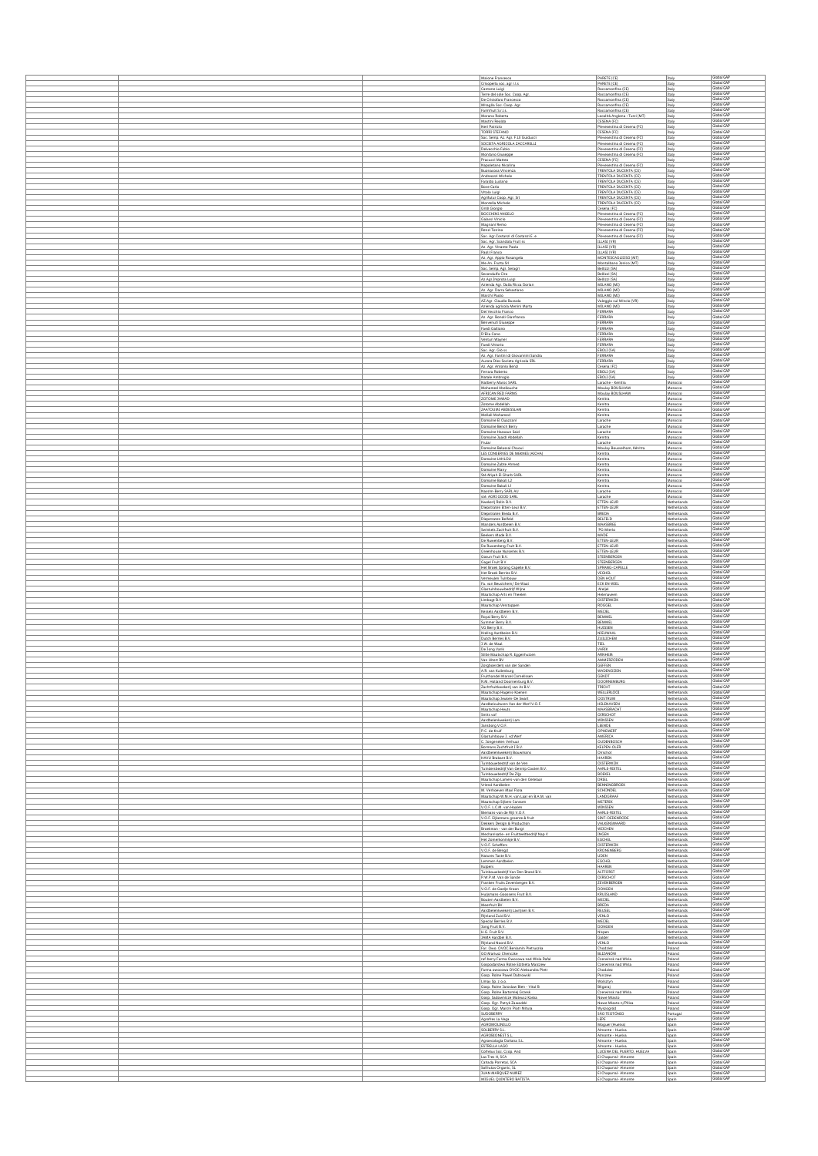|  | Maione Francesco                                                               | PARETE (CE)                                                | Italy                             | Global GAP               |
|--|--------------------------------------------------------------------------------|------------------------------------------------------------|-----------------------------------|--------------------------|
|  | Crisoperla soc. agr r.l.s                                                      | PARETE (CE)                                                | Italy                             | Global GAP<br>Global GAF |
|  | Cantone Luigi<br>Terre del sole Soc. Coop. Agr.                                | Roccamonfina (CE)<br>Roccamonfina (CE)                     | Italy<br>Italy                    | Global GAP               |
|  | De Cristofaro Francesco<br>Miraglia Soc. Coop. Agr.                            | Roccamonfina (CE)<br>Roccamonfina (CE)                     | Italy<br>Italy                    | Global GAP<br>Global GAP |
|  | Farmfruit S.r.Ls.                                                              | Roccamonfina (CE)                                          | Italy                             | Global GAF<br>Global GAP |
|  | Morano Roberta<br>Mastini Realdo                                               | Località Anglona - Tursi (MT)<br>CESENA (FC)               | Italy<br>Italy                    | Global GAP               |
|  | Neri Patrizio<br>TORRI STEFANO                                                 | Plevesestina di Cesena (FC)<br>CESENA (FC)                 | Italy<br>Italy                    | Global GAP<br>Global GAP |
|  | Soc. Semp. Az. Agr. F.Lli Guiducci<br>SOCIETA AGRICOLA ZACCARELLI              | Plevesestina di Cesena (FC)                                | Italy                             | Global GAP<br>Global GAP |
|  | Delvecchio Fabio                                                               | Plevesestina di Cesena (FC)<br>Pievesestina di Cesena (FC) | Italy<br>Italy                    | Global GAP               |
|  | Montano Gluseppe<br>Pracucci Matteo                                            | Pleyesestina di Cesena (FC)<br>CESENA (FC)                 | Italy<br>Italy                    | Global GAF<br>Global GAP |
|  | Napoletano Nicolina                                                            | Plevesestina di Cesena (FC)                                | Italy                             | Global GAP               |
|  | Buonacosa Vincenza<br>Andreozzi Michele                                        | TRENTOLA DUCENTA (CE)<br>TRENTOLA DUCENTA (CE)             | Italy<br>Italy                    | Global GAP<br>Global GAP |
|  | Faraldo Luciano                                                                | TRENTOLA DUCENTA (CE                                       | Italy                             | Global GAP               |
|  | Bove Carlo<br>Vitolo Luigi                                                     | TRENTOLA DUCENTA (CE)<br>TRENTOLA DUCENTA (CE)             | Italy<br>Italy                    | Global GAP<br>Global GAP |
|  | Agrifutur Coop. Agr. Srl<br>Montella Michele                                   | TRENTOLA DUCENTA (CE)<br>TRENTOLA DUCENTA (CE)             | Italy<br>Italy                    | Global GAP<br>Global GAP |
|  | Grilli Glorgio                                                                 | Cesena (FC)                                                | Italy                             | Global GAP               |
|  | BOCCHINI ANGELO<br>Galassi Vinicio                                             | Pleyesestina di Cesena (FC)<br>Plevesestina di Cesena (FC) | Italy<br>Italy                    | Global GAF<br>Global GAP |
|  | Magnani Remo                                                                   | Pievesestina di Cesena (FC)                                | Italy                             | Global GAP               |
|  | Renzi Tonino<br>Soc. Agr.Costanzi di Costanzi E. e                             | Plevesestina di Cesena (FC)<br>Plevesestina di Cesena (FC) | Italy<br>Italy                    | Global GAF<br>Global GAP |
|  | Soc. Agr. Scandola Fruit ss.                                                   | ILLASI (VR)<br><b>ILLASI (VR)</b>                          | Italy<br>Italy                    | Global GAP<br>Global GAF |
|  | Az. Agr. Vinante Paolo<br>Paoli Franco                                         | ILLASI (VR)                                                | Italy                             | Global GAP               |
|  | Az. Agr. Applo Rosangela<br>Me.An. Frutta Srl                                  | MONTESCAGLIOSO (MT)<br>Montalbano Jonico (MT)              | Italy<br>Italy                    | Global GAP<br>Global GAF |
|  | Soc. Semp. Agr. Seragri                                                        | Bellizzi (SA)                                              | Italy                             | Global GAP               |
|  | Secondulfo Ciro<br>Az Agr.Improta Luigi                                        | Bellizzi (SA)<br>Bellizzi (SA)                             | Italy<br>Italy                    | Global GAP<br>Global GAP |
|  | Azienda Agr. Dalla Ricca Dorian                                                | MILANO (MI)<br>MILANO (MI)                                 | Italy                             | Global GAP<br>Global GAP |
|  | Az. Agr. Darra Sebastiano<br>Marchi Paolo                                      | MILANO (MI)                                                | Italy<br>Italy                    | Global GAP               |
|  | AZ.Agr. Claudio Bussola<br>Azienda agricola Menini Marta                       | Valeggio sul Mincio (VR)<br>MILANO (MI)                    | Italy<br>Italy                    | Global GAP<br>Global GAP |
|  | Del Vecchio Franco                                                             | FERRARA                                                    | Italy                             | Global GAP               |
|  | Az. Agr. Bonoli Gianfranco<br>Benvenuti Gluseppe                               | FERRARA<br>FERRARA                                         | Italy<br>Italy                    | Global GAP<br>Global GAP |
|  | Faedi Galliano                                                                 | FERRARA<br>FERRARA                                         | Italy                             | Global GAP<br>Global GAP |
|  | D'Elia Cono<br>Venturi Wayner                                                  | FERRARA                                                    | Italy<br>Italy                    | Global GAP               |
|  | Faedi Vittorio<br>Soc. Agr. Glò ss                                             | FERRARA<br>EBOLI (SA)                                      | Italy<br>Italy                    | Global GAP<br>Global GAP |
|  | Az. Agr. Fantini di Giovannini Sandra                                          | FERRARA                                                    | Italy                             | Global GAP               |
|  | Aurora Dies Societa Agricola SRL<br>Az. Agr. Antonio Benzi                     | FERRARA<br>Cesena (FC)                                     | Italy<br>Italy                    | Global GAP<br>Global GAF |
|  | Ferrara Roberto                                                                | EBOLI (SA)                                                 | Italy                             | Global GAP<br>Global GAP |
|  | Natale Ambrogis<br>Natherry Maroc SARL                                         | EBOLI (SA)<br>Larache - Kenitra                            | Italy<br>Morocco                  | Global GAP               |
|  | Mohamed Abellouche<br>AFRICAN RED FARMS                                        | Moulay BOUSLHAM<br>Moulay BOUSLHAM                         | Morocco<br>Morocco                | Global GAP<br>Global GAP |
|  | ZOTOME JAWAD                                                                   | Kenitra                                                    | Morocco                           | Global GAF               |
|  | Zotome Abdellah<br>ZAATOUMI ABDESSLAM                                          | Kenitra<br>Kenitra                                         | Morocco<br>Morocco                | Global GAP<br>Global GAP |
|  | Mellali Mohamed                                                                | Kenitra                                                    | Morocco                           | Global GAP               |
|  | Domaine El Ouazzani<br>Domaine Bench Berry                                     | Larache<br>Larache                                         | Morocco<br>Morocco                | Global GAP<br>Global GAF |
|  | Domaine Hassoun Said                                                           | Larache                                                    | Morocco                           | Global GAP<br>Global GAP |
|  | Domaine Jaaldi Abdellah<br>Frular                                              | Kenitra<br>Larache                                         | Morocco<br>Morocco                | Global GAP               |
|  | Domaine Belassal Chaoui                                                        | Moulay Bousselham, Kénitra                                 | Morocco                           | Global GAP<br>Global GAP |
|  | LES CONSERVES DE MEKNES (AICHA)<br>Domaine LAHLOU                              | Kenitra<br>Kenitra                                         | Morocco<br>Morocco                | Global GAP               |
|  | Domaine Zabte Ahmed<br>Domaine Riany                                           | Kenitra<br>Kenitra                                         | Morocco<br>Morocco                | Global GAP<br>Global GAP |
|  | Sté Miyah El Gharb SARL                                                        | Kenitra                                                    | Morocco                           | Global GAP<br>Global GAP |
|  | Domaine Bakali L2<br>Domaine Bakali L1                                         | Kenitra<br>Kenitra                                         | Morocco<br>Morocco                | Global GAP               |
|  | Nassim-Berry SARL AU                                                           | Larache                                                    | Morocco                           | Global GAP<br>Global GAP |
|  | sté. AGRI GOOD SARL<br>Kwekerii Rolin B.V.                                     | Larache<br>ETTEN-LEUR                                      | Morocco<br>Netherlands            | Global GAP               |
|  | Diepstraten Etten-Leur B.V.                                                    | ETTEN-LEUR                                                 | Netherlands                       | Global GAP<br>Global GAP |
|  | Diepstraten Breda B.V.<br>Diepstraten Belfeld                                  | <b>BREDA</b><br>BELFELD                                    | Netherlands<br>Netherlands        | Global GAP               |
|  | Manders Aardbeien B.V.                                                         | MAASBREE                                                   | Netherlands                       | Global GAP<br>Global GAP |
|  | Swinkels Zachfruit B.V.<br>Beekers Made B.V.                                   | PG Mierlo<br>MADE                                          | Netherlands<br>Netherlands        | Global GAP               |
|  | De Ruwenberg B.V.<br>De Ruwenberg Fruit B.V.                                   | ETTEN-LEUR<br>ETTEN-LEUR                                   | Netherlands<br>Netherlands        | Global GAP<br>Global GAP |
|  | Greenhouse Nurseries B.V.                                                      | ETTEN-LEUR                                                 | Netherlands                       | Global GAP               |
|  | Gosun Fruit B.V.<br>Gagel Fruit B.V.                                           | STEENBERGEN<br>STEENBERGEN                                 | Netherlands                       | Global GAP<br>Global GAP |
|  | Het Broek Sprang Capelle B.V.                                                  | SPRANG-CAPELLE                                             | Netherlands<br>Netherlands        | Global GAP<br>Global GAP |
|  | Het Broek Berries B.V.<br>Vermeulen Tuinbouw                                   | <b>VEGHEL</b><br><b>DEN HOUT</b>                           | Netherlands<br>Netherlands        | Global GAF               |
|  | Fa. van Beuslchem/ De Waal<br>Glastuinbouwbedrijf Wijne                        | ECK EN WIEL<br>Meljel                                      | Netherlands<br>Netherlands        | Global GAP<br>Global GAP |
|  | Maatschap Arts en Theelen                                                      | Helenaveen                                                 | Netherlands                       | Global GAP<br>Global GAP |
|  | Limbogt B.V<br>Maatschap Verstappen                                            | <b>OISTERWIJK</b><br>ROGGEL                                | Netherlands<br>Netherlands        | Global GAP               |
|  | Kessels Aardbeien B.V.                                                         | MEIJEL<br>BEMMEL                                           | Netherlands                       | Global GAP<br>Global GAP |
|  | Royal Berry B.V.<br>Summer Berry B.V.                                          | BEMMEL                                                     | Netherlands<br>Netherlands        | Global GAP               |
|  | VG Berry B.V.<br>Kreling Aardbeien B.V.                                        | HUISSEN<br>NIEUWAAL                                        | Netherlands<br><b>Netherlands</b> | Global GAP<br>Global GAP |
|  | Dutch Remies R V                                                               | ZUILICHEM                                                  | Netherlands                       | Global GAP               |
|  | 3.W. de Waal<br>De Jong Varik                                                  | TIEL<br>VARIK                                              | Netherlands<br>Netherlands        | Global GAP<br>Global GAP |
|  | Stille Maatschap R. Eggenhuizen                                                | ARNHEM                                                     | Netherlands                       | Slobal GAF<br>Global GAP |
|  | Van Uitert BV<br>Zorgboerderlj van der Sand                                    | AMMERZODEN<br>GEFFEN                                       | Netherlands<br>Netherlands        | Global GAP               |
|  | A.R. van Kullenburg<br><b>Fruithandel Marcel Cornelissen</b>                   | WADENOUEN<br><b>GENDT</b>                                  | Netherlands<br>Netherlands        | Global GAF<br>Global GAP |
|  | R.M. Holland Doomenburg B.V.                                                   | DOORNENBURG                                                | Netherlands                       | Global GAP               |
|  | Zachtfruitkwekerij van As B.V<br>Maatschap Hagens-Koenen                       | <b>RICHT</b><br>WELLERLOOI                                 | Netherlands<br>Netherlands        | Global GAP               |
|  | Maatschap Jeuken-De Swart                                                      | <b>OOSTRUM</b>                                             | Netherlands                       | Global GAP<br>Global GAP |
|  | Aardbeiculturen Van der Werf V.O.F.<br>Maatschap Heuts                         | HELENAVEEN<br>MAASBRACHT                                   | Netherlands<br>Netherlands        | Global GAP               |
|  | Smits vof<br>Aardbeienkwekerij Lam                                             | OIRSCHOT<br>WINSSEN                                        | Netherlands<br>Netherlands        | Global GAP<br>Global GAP |
|  | Jansborg V.O.F.                                                                | LEENDE                                                     | Netherlands                       | Global GAP               |
|  | P.C. de Kruif<br>Glastuinbouw J. vd Werf                                       | OPHEMERT<br>AMERICA                                        | Netherlands<br>Netherlands        | Global GAP<br>Global GAP |
|  | C. Jongeneien Verhuur                                                          | OUDENBOSCH                                                 | Netherlands                       | Global GAP<br>Global GAP |
|  | Bormans Zachtfruit I B.V.<br>Aardbeienkwekerij Bouwmans                        | KELPEN-OLER<br>Oirschot                                    | Netherlands<br>Netherlands        | Global GAP               |
|  | HAVU Brabant B.V.<br>Tuinbouwbedrijf van de Ven                                | HAAREN<br><b>OISTERWIJK</b>                                | Netherlands<br>Netherlands        | Global GAP<br>Global GAP |
|  | Tuindersbedrijf Van Gennip Coolen B.V.                                         | AARLE-RIXTEL                                               | Netherlands                       | Global GAP<br>Global GAP |
|  | Tuinbouwbedrijf De Zijp<br>Maatschap Lamers- van den Oetelaar                  | <b>BOEKEL</b><br>DRIEL                                     | Netherlands<br><b>Netherlands</b> | Global GAP               |
|  | Vriend Aardbeien<br>M. Verhoeven Maxi Flora                                    | <b>BENNINGBROEK</b><br>SCHIJNDEL                           | <b>Netherlands</b><br>Netherlands | Global GAP<br>Global GAF |
|  | Maatschap W.M.H. van Laar en B.A.M. van                                        | LANDGRAAF                                                  | Netherlands                       | Global GAP               |
|  | Maatschap Sijbers-Janssen<br>V.O.F. L.C.M. van Haalen                          | METERIK<br>WINSSEN                                         | Netherlands<br>Netherlands        | Global GAP<br>Global GAP |
|  | Blemans-van de Rijt V.O.F.                                                     | AARLE-RIXTEL<br>SINT-OEDENRODE                             | Netherlands                       | Global GAP<br>Global GAP |
|  | V.O.F. Eljkemans groente & fruit<br>Dekkers Design & Production                | VALKENSWAARD                                               | Netherlands<br>Netherlands        | Global GAP               |
|  | Broekman - van der Burgt<br>Mechanisatie- en Fruitteeltbedrijf Nap V           | WIJCHEN<br>INGEN                                           | Netherlands<br>Netherlands        | Global GAP<br>Global GAP |
|  | Het Zomerkoninkie B.V.                                                         | <b>EGCHEL</b>                                              | Netherlands                       | Global GAP<br>Global GAP |
|  | V.O.F. Scheffers<br>V.O.F. de Bengd                                            | OISTERWIJK<br>KRONENBERG                                   | Netherlands                       | Global GAP               |
|  | Natures Taste B.V.                                                             | <b>UDEN</b><br>EGCHEL                                      | Netherlands<br>Netherlands        | Global GAP<br>Global GAP |
|  | Lemmen Aardbelen<br>Kulpers                                                    | HAAREN                                                     | Netherlands<br>Netherlands        | Global GAP               |
|  | Tuinbouwbedrijf Van Den Brand B.V.<br>P.W.P.M. Van de Sande                    | ALTFORST<br>OIRSCHOT                                       | Netherlands<br>Netherlands        | Global GAP<br>Global GAP |
|  | Franken Fruits Zevenbergen B.V.                                                | ZEVENBERGEN                                                | Netherlands                       | Global GAP<br>Global GAP |
|  | V.O.F. de Goelje Kroon<br>Huljsmans-Goossens Fruit B.V.                        | <b>DONGEN</b><br>KRUISLAND                                 | Netherlands<br>Netherlands        | Global GAP               |
|  | Bouten Aardbeien B.V.                                                          | MEIJEL<br><b>BREDA</b>                                     | Netherlands                       | Global GAP<br>Global GAP |
|  | Meerfruit BV.<br>Aardbeienkwekerij Lavrijsen B.V.                              | REUSEL                                                     | Netherlands<br>Netherlands        | Global GAP               |
|  | Riinland Zuid B.V.<br>Special Berries B.V.                                     | VENLO<br>MEIJEL                                            | Netherlands<br><b>Netherlands</b> | Global GAP<br>Global GAP |
|  | Jong Fruit B.V.                                                                | DONGEN                                                     | Netherlands                       | Global GAP               |
|  | H.G. Fruit B.V.<br>JAMA Aardbei B.V                                            | Nispen<br>Galder                                           | Netherlands<br>Netherlands        | Global GAP<br>Global GAP |
|  | Rijnland Noord B.V.                                                            | VENLO                                                      | Netherlands                       | Global GAP<br>Global GAP |
|  | Far. Owo. OVOC.Beniamin Pietruszka<br>GO Mariusz Chenczke                      | Chodziez<br>BLIZANÓW                                       | Poland<br>Poland                  | Global GAP               |
|  | raf-berry Farma Owocowa nad Wisla Rafal<br>Gospodarstwo Rolne Elzbieta Malczew | Czerwinsk nad Wisla<br>Czerwinsk nad Wisla                 | Poland<br>Poland                  | Global GAF<br>Global GAP |
|  | Farma owocowa OVOC Aleksandra Pietr                                            | Chodziez                                                   | Poland                            | Global GAP<br>Global GAP |
|  | Gosp. Rolne Pawel Dabrowski<br>Limax Sp. 2 o.o.                                | Parczew<br>Wolsztyn                                        | Poland<br>Poland                  | Global GAP               |
|  | Gosp. Rolne Jaroslaw Bien - Vital B                                            | Bilgoraj<br>Czerwinsk nad Wisla                            | Poland                            | Global GAP<br>Global GAP |
|  | Gosp. Rolne Bartomiej Grzesk<br>Gosp. Sadownicze Mateusz Koska                 | Nowe Miasto                                                | Poland<br>Poland                  | Global GAP               |
|  | Gosp. Oor, Patryk Zawadzki<br>Gosp. Ogr. Marcin Piotr Mitura                   | Nowe Miasto n/Pilloz<br>Wyszogród                          | Poland<br>Poland                  | Global GAP<br>Global GAP |
|  | SUDOBERRY                                                                      | SÃO TEOTÓNIO                                               | Portuga                           | Global GAP               |
|  | Agrofres La Vega<br>AGROMOLINILLO                                              | LEPE<br>Moguer (Huelva)                                    | Spain<br>Spain                    | Global GAP<br>Global GAP |
|  | SOLBERRY S.L                                                                   | Almonte - Huelva                                           | Spain                             | Global GAP<br>Global GAP |
|  | AGROBIONEST S.L<br>Agroecología Doñana S.L.                                    | Almonte - Huelva<br>Almonte - Huelva                       | Spain<br>Spain                    | Global GAP               |
|  | ESTRELLA LAGO<br>Cofrelux Soc. Coop. And                                       | Almonte - Huelva<br>LUCENA DEL PUERTO, HUELVA              | Spain<br>Spain                    | Global GAP<br>Global GAP |
|  | Las Tres H, SCA                                                                | El Chaparral- Almonte                                      | Spain                             | Global GAP<br>Global GAF |
|  | Cañada Porretal, SCA<br>Solfrutas Organic, SL                                  | El Chaparral- Almonte<br>El Chaparral- Almonte             | Spain<br>Spain                    | Global GAP               |
|  | JUAN MARQUEZ NUÑEZ<br>MIGUEL QUINTERO BATISTA                                  | El Chaparral- Almonte<br>El Chaparral- Almonte             | Spain<br>Spain                    | Global GAP<br>obal GAF   |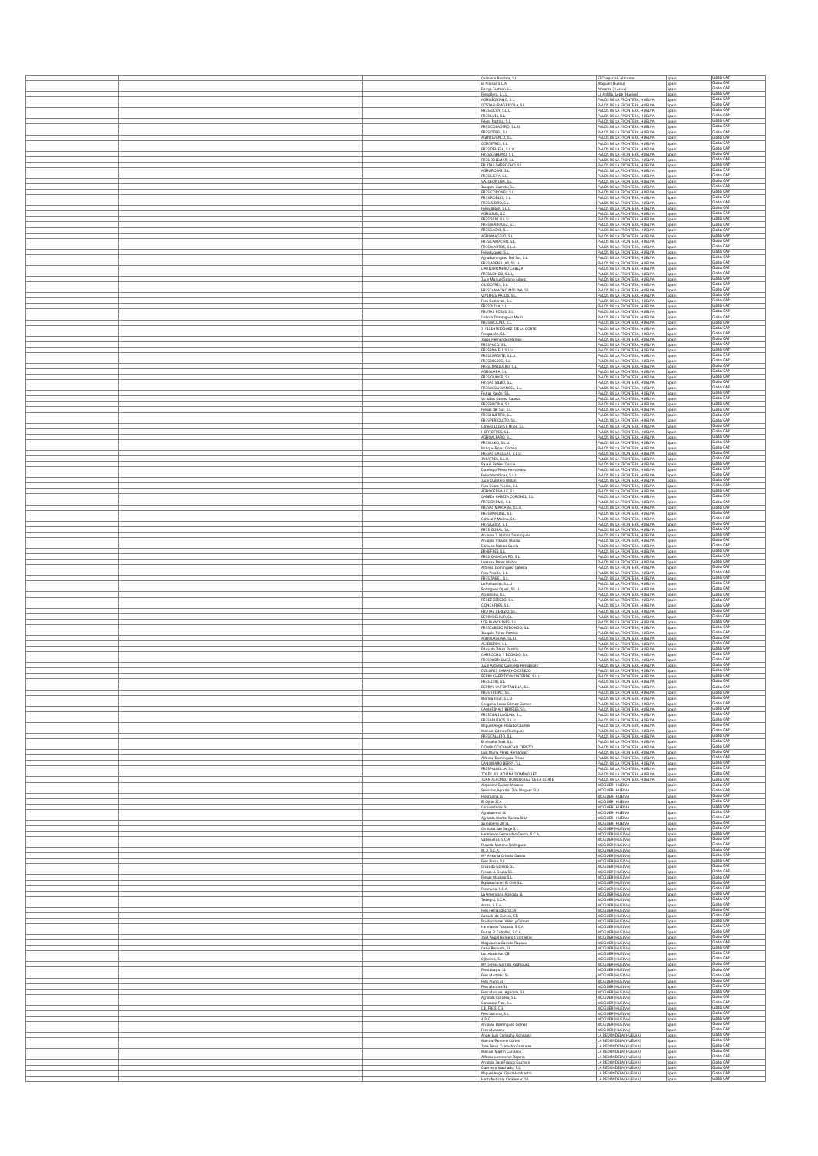|  | Quintero Bastista, S.L.                                             | El Chaparral- Almonte<br>Spain                                                                                 | Global GAF                             |
|--|---------------------------------------------------------------------|----------------------------------------------------------------------------------------------------------------|----------------------------------------|
|  | El Pilonar S.C.A.                                                   | Spain<br>Moguer (Huelva)                                                                                       | Global GAP<br>Global GAP               |
|  | Berrys Fashion S.L.<br>Fresgilera, S.L.L.                           | Almonte (Huelva)<br>Spain<br>La Antilla, Lepe (Huelva)<br>Spain                                                | Global GAF                             |
|  | AGROSORIANO, S.L<br>COSTASUR AGRICOLA, S                            | PALOS DE LA FRONTERA, HUELVA<br>Spain<br>PALOS DE LA FRONTERA, HUELVA<br>Spain                                 | Global GAP<br>Global GAP               |
|  | FRESELCAY, S.L.U<br>FRES LUIS, S.L.                                 | PALOS DE LA FRONTERA, HUELVA<br>Spain<br>PALOS DE LA FRONTERA, HUELVA<br>Spain                                 | Global GAF<br>Global GAP               |
|  | Pérez Portillo, S.L<br>FRES COLADERO, S.L.U                         | PALOS DE LA FRONTERA, HUELVA<br>Spain<br>PALOS DE LA FRONTERA, HUELVA<br>Spain                                 | Global GAP<br>Global GAP               |
|  | FRES ODIEL, S.L.<br>AGROJUANLU, S.I                                 | PALOS DE LA FRONTERA, HUELVA<br>Spain                                                                          | Global GAP<br>Global GAP               |
|  | CORTEFRES, S.L.                                                     | PALOS DE LA FRONTERA, HUELVA<br>Spain<br>PALOS DE LA FRONTERA, HUELVA<br>Spain                                 | Global GAP                             |
|  | FRES DEHESA, S.L.L<br>FRES SERRANO, S.L.                            | PALOS DE LA FRONTERA, HUELVA<br>Spain<br>PALOS DE LA FRONTERA, HUELVA<br>Spain                                 | Global GAP<br>Global GAP               |
|  | FRES-JOLEMAR, S.L.<br>FRUTAS GARROCHO, S                            | PALOS DE LA FRONTERA, HUELVA<br>Spain<br>PALOS DE LA FRONTERA, HUELVA<br>Spair                                 | Global GAP<br>Global GAP               |
|  | AGROROJAS, S.L.<br>FRES LIEVA, S.L.                                 | PALOS DE LA FRONTERA, HUELVA<br>Spain<br>PALOS DE LA FRONTERA, HUELVA<br>Spain                                 | Global GAP<br>Global GAP               |
|  | VALDEONUBA, S.                                                      | PALOS DE LA FRONTERA, HUELVA<br>Spain                                                                          | Global GAP<br>Global GAP               |
|  | Joaquín Garrido, S.I<br>FRES CORONEL, S.I                           | PALOS DE LA FRONTERA, HUELVA<br>Spain<br>PALOS DE LA FRONTERA, HUELVA<br>Spain                                 | Global GAP                             |
|  | FRES ROBLES, S.L<br>FRESISIDRO, S.L.                                | PALOS DE LA FRONTERA, HUELVA<br>Spain<br>PALOS DE LA FRONTERA, HUELVA<br>Spain                                 | Global GAF<br>Global GAP               |
|  | Fresvillalon, S.L.U.<br>AGROSUR, S.C                                | PALOS DE LA FRONTERA, HUELVA<br>Spain<br>PALOS DE LA FRONTERA. HUELVA<br>Spain                                 | Global GAP<br>Global GAF               |
|  | FRES 2010, S.L.U.<br>FRES MÁRQUEZ, S.                               | PALOS DE LA FRONTERA, HUELVA<br>Spain<br>PALOS DE LA FRONTERA, HUELVA                                          | Global GAP<br>Global GAP               |
|  | FRESGACAR, S.L.                                                     | Spain<br>PALOS DE LA FRONTERA, HUELVA<br>Spain                                                                 | Global GAF                             |
|  | AGROMAGELO, S.L<br>FRES CAMACHO, S.L.                               | PALOS DE LA FRONTERA, HUELVA<br>Spain<br>PALOS DE LA FRONTERA, HUELVA<br>Spain                                 | Global GAP<br>Global GAP               |
|  | FRES MARTOS, S.L.U<br>Fresvázquez, S.L.                             | PALOS DE LA FRONTERA, HUELVA<br>Spair<br>PALOS DE LA FRONTERA, HUELVA<br>Spain                                 | Global GAF<br>Global GAP               |
|  | Agrodominguez Del Sur, S.<br>FRES ARENILLAS, S.L.U.                 | PALOS DE LA FRONTERA, HUELVA<br>Spain<br>PALOS DE LA FRONTERA, HUELVA<br>Spain                                 | Global GAP<br>Global GAF               |
|  | DAVID ROMERO CABEZA<br>FRES LONGO, S.L.U.                           | PALOS DE LA FRONTERA, HUELVA<br>Spain<br>PALOS DE LA FRONTERA, HUELVA<br>Spain                                 | Global GAF<br>Global GAP               |
|  | Juan Manuel Solano López<br>OLIGOFRES, S.L.                         | PALOS DE LA FRONTERA, HUELVA<br>Spain<br>PALOS DE LA FRONTERA, HUELVA                                          | Global GAP                             |
|  | FRESCAMACHO MOLINA, S.                                              | Spain<br>PALOS DE LA FRONTERA, HUELVA.<br>PALOS DE LA FRONTERA, HUELVA.<br>Spain                               | Global GAP<br>Global GAP<br>Global GAP |
|  | VIVIFRES PALOS, S.L.<br>Fres Gutiérrez, S.L.                        | Spain<br>PALOS DE LA FRONTERA, HUELVA<br>Spain                                                                 | Global GAP<br>Global GAP               |
|  | FRESOLIVA, S.L.<br>FRUTAS ROJAS, S.L.                               | PALOS DE LA FRONTERA, HUELVA<br>Spain<br>PALOS DE LA FRONTERA, HUELVA<br>Spain                                 | Global GAP<br>Global GAP               |
|  | Isidoro Dominguez Marin<br>FRES MOLINA, S.L.                        | PALOS DE LA FRONTERA, HUELVA<br>Spain<br>PALOS DE LA FRONTERA, HUELVA<br>Spain                                 | Global GAP                             |
|  | J. VICENTE DGUEZ. DE LA CORTE                                       | PALOS DE LA FRONTERA, HUELVA<br>Spain<br>PALOS DE LA FRONTERA, HUELVA                                          | Global GAP                             |
|  | Frespozón, S.L.<br>Jorge Hernández Ramo                             | Spain<br>PALOS DE LA FRONTERA, HUELVA<br>Spain                                                                 | Global GAP<br>Global GAP<br>Global GAP |
|  | FRESPACO, S.L.<br>FRESROMELI, S.L.L                                 | PALOS DE LA FRONTERA, HUELVA<br>Spain<br>PALOS DE LA FRONTERA. HUELVA<br>Spain                                 | Global GAP<br>Global GAP               |
|  | FRESZURDETE, S.L.U<br>FRESBOLECO, S.L.                              | PALOS DE LA FRONTERA, HUELVA<br>Spain<br>PALOS DE LA FRONTERA, HUELVA<br>Spain                                 | Global GAP                             |
|  | <b>ERESCONDUERO SI</b><br>AGROLARA, S.L.                            | PALOS DE LA FRONTERA. HUELVA<br>Spain<br>PALOS DE LA FRONTERA, HUELVA<br>Spain                                 | Global GAF<br>Global GAP               |
|  | FRES GUMER S.L<br>FRESAS SILBO, S.L.                                | PALOS DE LA FRONTERA, HUELVA<br>PALOS DE LA FRONTERA, HUELVA<br>Spain                                          | Global GAP<br>Global GAP               |
|  | FRESMIGUELANGEL, S.                                                 | PALOS DE LA FRONTERA, HUELVA<br>Spain<br>PALOS DE LA FRONTERA, HUELVA                                          | Global GAP<br>Global GAP               |
|  | Frutas Ratón, S.L.<br>Virtudes Gómez Cabeza                         | Spain<br>PALOS DE LA FRONTERA, HUELVA<br>Spain                                                                 | Global GAF                             |
|  | FRESROCINA, S.L.<br>Fresas del Sur, S.L                             | PALOS DE LA FRONTERA, HUELVA<br>Spain<br>PALOS DE LA FRONTERA, HUELVA<br>Spain                                 | Global GAP<br>Global GAP               |
|  | FRES HUERTO, S.L.<br>FRESPERIQUITO, S.L                             | PALOS DE LA FRONTERA, HUELVA<br>Spain<br>PALOS DE LA FRONTERA, HUELVA<br>Spain                                 | Global GAP                             |
|  | Gómez Lázaro E Hijos, S.<br>HORTOFRES, S.L.                         | PALOS DE LA FRONTERA, HUELVA<br>Spain<br>Spain                                                                 | Global GAP<br>Global GAP<br>Global GAP |
|  | AGROALFARO, S.                                                      | PALOS DE LA FRONTERA, HUELVA<br>Spain                                                                          | Global GAP<br>Global GAP               |
|  | FRESKAKO, S.L.U.<br>Enrique Rojas Gómez                             | PALOS DE LA FRONTERA, HUELVA<br>Spain<br>PALOS DE LA FRONTERA, HUELVA<br>Spain                                 | Global GAP<br>Global GAP               |
|  | FRESAS CASILLAS, S.L.L.<br>JARAFRES, S.L.U.                         | PALOS DE LA FRONTERA, HUELVA<br>PALOS DE LA FRONTERA, HUELVA<br>Spain                                          | Global GAP                             |
|  | Rafael Robles García<br>Domingo Pérez Hernández                     | PALOS DE LA FRONTERA, HUELVA<br>Spain<br>PALOS DE LA FRONTERA, HUELVA<br>Spain                                 | Global GAP<br>Global GAP               |
|  | Frescolombinas, S.L.U.<br>Juan Quintero Millán                      | PALOS DE LA FRONTERA, HUELVA<br>Spain<br>PALOS DE LA FRONTERA, HUELVA<br>Spain                                 | Global GAP<br>Global GAP               |
|  | Fres Dulce Pasión, S.I                                              | PALOS DE LA FRONTERA, HUELVA<br>Spain                                                                          | Global GAP<br>Global GAP               |
|  | AGROCERVALLE, S.L.<br>CABEZA CABEZA CORONEL, S.L.                   | PALOS DE LA FRONTERA, HUELVA<br>Spain<br>PALOS DE LA FRONTERA, HUELVA<br>Spain                                 | Global GAP                             |
|  | FRES GARMO, S.L.<br>FRESAS MARIANA, S.L.U.                          | PALOS DE LA FRONTERA. HUELVA<br>Spain<br>PALOS DE LA FRONTERA, HUELVA<br>Spain                                 | Global GAF<br>Global GAP<br>Global GAP |
|  | FRESMARIDEL, S.L.<br>Gómez Y Molina, S.L                            | PALOS DE LA FRONTERA, HUELVA<br>Spain<br>PALOS DE LA FRONTERA, HUELVA<br>Spain                                 | Global GAF                             |
|  | FRES LAICA, S.L.<br>FRES-CORAL, S.L.                                | PALOS DE LA FRONTERA, HUELVA<br>Spain<br>PALOS DE LA FRONTERA, HUELVA<br>Spain                                 | Global GAP<br>Global GAP               |
|  | Antonio J. Molina Dominguez<br>Antonio Villalón Macías              | PALOS DE LA FRONTERA, HUELVA<br>Spain<br>PALOS DE LA FRONTERA, HUELVA                                          | Global GAF<br>Global GAP               |
|  | Dámaso Robles García                                                | Spain<br>PALOS DE LA FRONTERA, HUELVA<br>Spain                                                                 | Global GAP<br>Global GAP               |
|  | <b>ERNEFRES, S.L.</b><br>FRES-CASACAMPO, S.L.                       | PALOS DE LA FRONTERA, HUELVA<br>Spain<br>PALOS DE LA FRONTERA, HUELVA<br>Spain                                 | Global GAP                             |
|  | Lorenzo Pérez Muñoz<br>Alfonso Dominguez Cabeza                     | PALOS DE LA FRONTERA, HUELVA<br>Spain<br>PALOS DE LA FRONTERA, HUELVA<br>Spain                                 | Global GAP<br>Global GAP               |
|  | Fres Pinzón, S.L.<br>FRESISABEL S.L.                                | PALOS DE LA FRONTERA, HUELVA<br>Spain<br>PALOS DE LA FRONTERA, HUELVA<br>Spain                                 | Global GAP<br>Global GAP               |
|  | La Pañuelita, S.L.U<br>Rodríguez Ojuez, S.L.U                       | PALOS DE LA FRONTERA, HUELVA<br>Spain<br>PALOS DE LA FRONTERA, HUELVA                                          | Global GAP<br>Global GAP               |
|  | Agromalvi, S.L.<br>PÉREZ CEREZO, S.L                                | PALOS DE LA FRONTERA, HUELVA<br>Spain<br>PALOS DE LA FRONTERA, HUELVA<br>Spain                                 | Global GAP<br>Global GAF               |
|  | GONCAFRES, S.I<br>FRUTAS CEREZO, S.L                                | PALOS DE LA FRONTERA, HUELVA<br>Spain<br>PALOS DE LA FRONTERA, HUELVA<br>Spain                                 | Global GAF<br>Global GAP               |
|  | BERRYDELSUR, S.L.<br>LOS MANOLINES S.L                              | PALOS DE LA FRONTERA, HUELVA<br>Spain                                                                          | Global GAP                             |
|  | <b>FRESCABEZO REDONDO, S.I</b>                                      | PALOS DE LA FRONTERA, HUELVA<br>Spain<br>PALOS DE LA FRONTERA, HUELVA<br>Spain                                 | Global GAP<br>Global GAP               |
|  | Joaquín Pérez Portillo<br>AGROLAGUNA, S.L.U.                        | PALOS DE LA FRONTERA, HUELVA<br>Spain<br>PALOS DE LA FRONTERA. HUELVA<br>Spain                                 | Global GAP<br>Global GAF               |
|  | ALJEBERRY, S.L.<br>Eduardo Pérez Portillo                           | PALOS DE LA FRONTERA, HUELVA<br>Spain<br>PALOS DE LA FRONTERA, HUELVA<br>Spain                                 | Global GAP<br>Global GAP               |
|  | GARROCHO Y BOGADO, S.L<br>FRESRODRIGUEZ, S.L.                       | PALOS DE LA FRONTERA, HUELVA<br>Spain<br>PALOS DE LA FRONTERA, HUELVA<br>Spain                                 | Global GAF<br>Global GAP               |
|  | Juan Antonio Quintero Hernánde<br>DOLORES CAMACHO CEREZO            | PALOS DE LA FRONTERA, HUELVA<br>PALOS DE LA FRONTERA, HUELVA<br>Spain                                          | Global GAP<br>Global GAF               |
|  | BERRY GARRIDO MONTERDE, S.L.U                                       | PALOS DE LA FRONTERA, HUELVA<br>Spain                                                                          | Global GAF<br>Global GAP               |
|  | FRESLITRI, S.L.<br>BERRYS LA FONTANIL                               | PALOS DE LA FRONTERA, HUELVA<br>Spain<br>PALOS DE LA FRONTERA, HUELVA<br>Spain                                 |                                        |
|  | FRES TRISAC, S.L.<br>Moriña Fruit, S.L.U.                           | PALOS DE LA FRONTERA, HUELVA<br>Spain<br>PALOS DE LA FRONTERA, HUELVA<br>Spain                                 | Global GAP<br>Global GAP               |
|  | Gregorio Jesús Gómez Gómez<br>CAMARINA <sub>L</sub> S BERRIES, S.L. | PALOS DE LA FRONTERA, HUELVA<br>Spain<br>PALOS DE LA FRONTERA, HUELVA<br>Spain                                 | Global GAP                             |
|  | FRESCOMI LAGUNA, S.L.<br>FRESABUELOS, S.L.U.                        | PALOS DE LA FRONTERA, HUELVA<br>Spain<br>PALOS DE LA FRONTERA, HUELVA<br>Spain                                 | Global GAP<br>Global GAP<br>Global GAP |
|  | Miguel Ángel Rosado Cáceres                                         | PALOS DE LA FRONTERA, HUELVA<br>Spain                                                                          | Global GAP<br>Global GAP               |
|  | Manuel Gómez Rodríguez<br>FRES CALLEJO, S.L.                        | PALOS DE LA FRONTERA, HUELVA<br>Spain<br>PALOS DE LA FRONTERA, HUELVA<br>Spain<br>PALOS DE LA FRONTERA, HUELVA | Global GAP<br>Global GAP               |
|  | El Abuelo José, S.L.<br>DOMINGO CAMACHO CEREZO                      | Spain<br>PALOS DE LA FRONTERA, HUELVA<br>Spain                                                                 | Global GAP                             |
|  | Luis María Pérez Hernández<br>Alfonso Domínguez Trisac              | PALOS DE LA FRONTERA, HUELVA<br>Spain<br>PALOS DE LA FRONTERA, HUELVA<br>Spain                                 | Global GAP<br>Global GAP               |
|  | CANOMARO BERRY, S.L.<br>FRESPALMILLA, S.L.                          | PALOS DE LA FRONTERA, HUELVA<br>Spain<br>PALOS DE LA FRONTERA, HUELVA<br>Spain                                 | Global GAP<br>Global GAP               |
|  | 105FTUIS MOUNA DOMÍNGUEZ<br>JUAN ALFONSO DOMÍNGUEZ DE LA CORTE      | PALOS DE LA FRONTERA, HUELVA<br>Spain<br>PALOS DE LA FRONTERA, HUELVA<br>Spain                                 | Global GAP<br>Global GAP               |
|  | Alejandro Buforn Moreno<br>Servicios Agrarios JVA Moquer SLU        | MOGUER- HUELVA<br>Spain<br>MOGUER- HUELVA<br>Spain                                                             | Global GAP<br>Global GAP               |
|  | Fresrocina SL                                                       | MOGUER- HUELVA<br>Spain                                                                                        | Global GAP<br>Global GAP               |
|  | El Qillo SCA<br>Garcondacini SL                                     | MOGUER- HUELVA<br>Spain<br>MOGUER- HUELVA<br>Spain                                                             | Global GAP                             |
|  | Agrobarrera SL<br>Agricola Monte Rocina SLL                         | MOGUER- HUELVA<br>Spain<br>MOGUER- HUELVA<br>Spain                                                             | Global GAP<br>Global GAP               |
|  | Sumaberry 20 SL<br>Citrícola San Jorge S.L.                         | MOGUER- HUELVA<br>Spain<br>MOGUER (HUELVA)<br>Spain                                                            | Global GAF<br>Global GAP               |
|  | Hermanos Fernandez García, S.C.A.<br>Valleluelos, S.C.A.            | MOGUER (HUELVA)<br>Spain<br>MOGUER (HUELVA)<br>Spain                                                           | Global GAP<br>Global GAP               |
|  | Ricardo Moreno Rodriguez<br>M.D. S.C.A.                             | MOGUER (HUELVA)<br>Spain<br>MOGUER (HUELVA)<br>Spain                                                           | Global GAP<br>Global GAP               |
|  | M <sup>*</sup> Antonia Griñolo García                               | MOGUER (HUELVA)<br>Spain<br>MOGUER (HUELVA)                                                                    | Global GAP                             |
|  | Fres Plosa, S.L.<br>Cruzado Garrido, SI                             | Spain<br>MOGUER (HUELVA)<br>Spain                                                                              | Global GAP<br>Global GAP               |
|  | Fresas la Grulla S.L.<br>Fresas Macario S.L.                        | MOGUER (HUELVA)<br>Spain<br>MOGUER (HUELVA)<br>Spain                                                           | Global GAP<br>Global GAP               |
|  | Explotaciones El Civil S.L<br>Fresnuria, S.C.A.                     | MOGUER (HUELVA)<br>Spain<br>MOGUER (HUELVA)<br>Spain                                                           | Global GAP<br>Global GAP               |
|  | La Americana Agricola SL<br>Tedegru, S.C.A.                         | MOGUER (HUELVA)<br>Spain<br>MOGUER (HUELVA)<br>Spain                                                           | Global GAP<br>Global GAP               |
|  | Arosa, S.C.A.<br>Fres Fernandez S.C.A.                              | MOGUER (HUELVA)<br>Spain<br>MOGUER (HUELVA)<br>Spain                                                           | Global GAP<br>Global GAP               |
|  | Cañada de Cantos, CB<br>Producciones Vélez y Gómez                  | MOGUER (HUELVA)<br>Spain<br>MOGUER (HUELVA)<br>Spain                                                           | Global GAP<br>Global GAP               |
|  | Hermanos Toscano, S.C.A.<br>Frutas El Cebollar, S.C.A.              | MOGUER (HUELVA)<br>Spain<br>MOGUER (HUELVA)<br>Spain                                                           | Global GAF<br>Global GAP               |
|  | José Ángel Romero Cumbreras                                         | MOGUER (HUELVA)<br>Spain                                                                                       | Global GAP<br>Global GAP               |
|  | Magdalena Garrido Raposo<br>Caño Baqueta, SL                        | MOGUER (HUELVA)<br>Spain<br>MOGUER (HUELVA)<br>Spain                                                           | Global GAP<br>Global GAP               |
|  | Los Alcaleños CB<br>Ojitofres, SL                                   | MOGUER (HUELVA)<br>Spain<br>MOGUER (HUELVA)<br>Spain                                                           | Global GAP                             |
|  | M <sup>ª</sup> Teresa Garrido Rodríguez<br>Frestabagar SL           | MOGUER (HUELVA)<br>Spain<br>MOGUER (HUELVA)<br>Spain                                                           | Global GAP<br>Global GAP               |
|  | Fres Martinez SL<br>Fres Plano SL                                   | MOGUER (HUELVA)<br>Spain<br>MOGUER (HUELVA)<br>Spain                                                           | Global GAP<br>Global GAP               |
|  | Fres Morales SL<br>Fres Marquez Agricola, S.L.                      | MOGUER (HUELVA)<br>Spain<br>MOGUER (HUELVA)<br>Spain                                                           | Global GAP<br>Global GAP               |
|  | Agricola Cordero, S.L.<br>Gonzalez Fres, S.L.                       | MOGUER (HUELVA)<br>Spain<br>MOGUER (HUELVA)<br>Spain                                                           | Global GAP<br>Global GAP               |
|  | GIL FRES, C.B.                                                      | MOGUER (HUELVA)<br>Spain                                                                                       | Global GAP<br>Global GAP               |
|  | Fres Soriano, S.L<br>A.D.G                                          | MOGUER (HUELVA)<br>Spain<br>MOGUER (HUELVA)<br>Spain                                                           | Global GAP                             |
|  | Antonio Dominguez Gómez<br>Fres Manzano                             | MOGUER (HUELVA)<br>Spain<br>MOGUER (HUELVA)<br>Spain                                                           | Global GAP<br>Global GAP               |
|  | Angel Luis Camacho Gonzalez<br>Manolo Romero Cortés                 | LA REDONDELA (HUELVA)<br>Spain<br>LA REDONDELA (HUELVA)<br>Spain                                               | Global GAP<br>Global GAP               |
|  | Jose Jesus Camacho Gonzalez<br>Manuel Martin Carrasco               | LA REDONDELA (HUELVA)<br>Spain<br>LA REDONDELA (HUELVA)<br>Spain                                               | Global GAP<br>Global GAP               |
|  | Alfonsa Lominchar Ropero<br>Antonio Jose Franco Gúzman              | LA REDONDELA (HUELVA)<br>Spain<br>LA REDONDELA (HUELVA)<br>Spain                                               | Global GAP<br>Global GAP               |
|  | Guerreiro Machado, S.L.                                             | LA REDONDELA (HUELVA)<br>Spain                                                                                 | Global GAP<br>Global GAP               |
|  | Miguel Angel Gonzalez Martin<br>Hortofruticola Catalamar, S.L       | LA REDONDELA (HUELVA)<br>Spain<br>LA REDONDELA (HUELVA)<br>Spain                                               | Global GAF                             |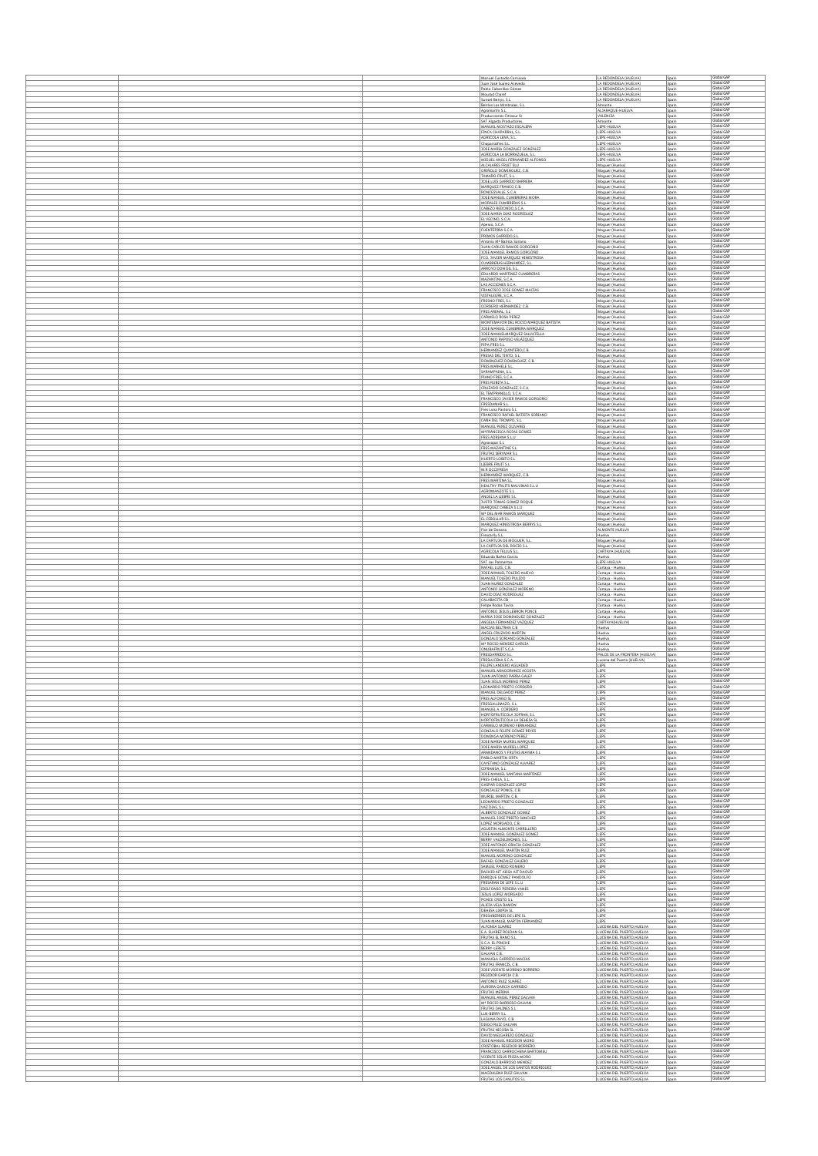|  | Manuel Custodio Camacea                                                                 | LA REDONDELA (HUELVA)                                       | Spain          | Global GAF                             |
|--|-----------------------------------------------------------------------------------------|-------------------------------------------------------------|----------------|----------------------------------------|
|  | Juan José Suarez Acevedo                                                                | LA REDONDELA (HUELVA)                                       | Spain          | Global GAP                             |
|  | Pablo Cabanillas Gómez<br>Mourad Charef                                                 | LA REDONDELA (HUELVA)<br>LA REDONDELA (HUELVA)              | Spain<br>Spain | Global GAF<br>Global GAF               |
|  | Sunset Berrys, S.L.<br>Berries Los Mimbrales, S.L.                                      | LA REDONDELA (HUELVA)<br>Almonte                            | Spain<br>Spain | Global GAP<br>Global GAP               |
|  | Agromartín S.L.                                                                         | ALJARAQUE-HUELVA                                            | Spain          | Global GAP<br>Global GAP               |
|  | Producciones Citrosur SI<br>SAT Algalda Productores                                     | VALENCIA<br>Almonte                                         | Spain<br>Spain | Global GAP                             |
|  | MANUEL MOSTAZO ESCALERA<br>FINCA CHAPARRAL, S.L.                                        | LEPE-HUELVA<br>LEPE-HUELVA                                  | Spain<br>Spain | Global GAF<br>Global GAP               |
|  | AGRICOLA LENA, S.L.<br>Chaparralfres S.L.                                               | LEPE-HUELVA<br>LEPE-HUELVA                                  | Spain<br>Spain | Global GAP<br>Global GAF               |
|  | JOSE MARIA GONZALEZ GONZALEZ                                                            | LEPE-HUELVA<br>LEPE-HUELVA                                  | Spain<br>Spair | Global GAP<br>Global GAF               |
|  | AGRICOLA LA BORRAZUELA, S.L.<br>MIGUEL ANGEL FERNANDEZ ALFONSO                          | LEPE-HUELVA                                                 | Spain          | Global GAF<br>Global GAP               |
|  | ALCALARES FRUIT SLU<br>GRIÑOLO DOMINGUEZ, C.B.                                          | Moguer (Huelva)<br>Moguer (Huelva)                          | Spain<br>Spain | Global GAP                             |
|  | TAMARO FRUIT, S.L.<br>JOSE LUIS GARRIDO BARRERA                                         | Moguer (Huelva)<br>Moguer (Huelva)                          | Spain<br>Spain | Global GAP<br>Global GAP               |
|  | MARQUEZ FRANCO C.B.<br>RONCESVALLE, S.C.A.                                              | Moguer (Huelva)<br>Moguer (Huelva)                          | Spain<br>Spain | Global GAP<br>Global GAP               |
|  | JOSE MANUEL CUMBRERAS MORA                                                              | Moguer (Huelva)                                             | Spain          | Global GAP<br>Global GAP               |
|  | MORALES CUMBRERAS S.L.<br>CABEZO REDONDO, S.C.A.                                        | Moouer (Huelva)<br>Moguer (Huelva)                          | Spain<br>Spain | Global GAP                             |
|  | JOSE MARIA DIAZ RODRÍGUEZ<br>EL VECINO, S.C.A.                                          | Moguer (Huelva)<br>Moguer (Huelva)                          | Spain<br>Spain | Global GAP<br>Global GAP               |
|  | Aperao, S.C.A.<br>FUENTEPIÑA S.C.A                                                      | Moguer (Huelva)<br>Moguer (Huelva)                          | Spain<br>Spain | Global GAP<br>Global GAP               |
|  | PRIMOS GARRIDO, S.L.<br>Antonia M <sup>*</sup> Batista Soriano                          | Moguer (Huelva)                                             | Spain          | Global GAP<br>Global GAP               |
|  | JUAN CARLOS RAMOS GORGOÑO                                                               | Moguer (Huelva)<br>Moguer (Huelva)                          | Spain<br>Spain | Global GAF<br>Global GAP               |
|  | JOSE MANUEL RAMOS GORGOÑO<br>FCO. JAVIER MARQUEZ HINESTROSA                             | Moguer (Huelva)<br>Moguer (Huelva)                          | Spain<br>Spain | Global GAP                             |
|  | CUMBRERAS HERNÁNDEZ, S.L.<br>ARROYO DON GIL S.L.                                        | Moguer (Huelva)<br>Moguer (Huelva)                          | Spain<br>Spain | Global GAP<br>Global GAP               |
|  | EDUARDO MARTINEZ CUMBRERAS<br>MAZANTINE, S.C.A.                                         | Moguer (Huelva)<br>Moouer (Huelva)                          | Spain<br>Spain | Global GAP<br>Global GA                |
|  | LAS ACCIONES S.C.A.                                                                     | Moguer (Huelva)                                             | Spain          | Global GAP<br>Global GAF               |
|  | FRANCISCO JOSE GOMEZ MACÍAS<br>VISTALEGRE, S.C.A.                                       | Moguer (Huelva)<br>Moguer (Huelva)                          | Spain<br>Spain | Global GAP                             |
|  | FRESNO FRES, S.L.<br>CORDERO HERNANDEZ, C.B.                                            | Moguer (Huelva)<br>Moguer (Huelva)                          | Spain<br>Spain | Global GAP<br>Global GAF               |
|  | FRES ARENAL, S.L.<br>CARMELO ROSA PEREZ                                                 | Moguer (Huelva)<br>Moguer (Huelva)                          | Spain<br>Spain | Global GAF<br>Global GAP               |
|  | MONTEMAYOR DEL ROCIO MARQUEZ BATISTA                                                    | Moguer (Huelva)                                             | Spain          | Global GAF<br>Global GAP               |
|  | JOSE MANUEL CUMBRERA MÁRQUEZ<br>JOSE MANUELMARQUEZ SALVATELLA                           | Moquer (Huelva)<br>Moguer (Huelva)                          | Spain<br>Spain | Global GAP                             |
|  | ANTONIO RAPOSO VELÁZQUEZ<br>PIPA FRES S.L.                                              | Moguer (Huelva)<br>Moguer (Huelva)                          | Spain<br>Spain | Global GAF<br>Global GAP               |
|  | HERNANDEZ QUINTERO,C.B.<br>FRESAS DEL TINTO, S.L.                                       | Moguer (Huelva)<br>Moguer (Huelva)                          | Spain<br>Spain | Global GAP<br>Global GAP               |
|  | DOMINGUEZ DOMINGUEZ, C.B.<br>FRES MARHELE S.L.                                          | Moguer (Huelva)<br>Moguer (Huelva)                          | Spain<br>Spain | Global GAP<br>Global GAP               |
|  | SARAMPAINA, S.L.                                                                        | Moguer (Huelva)                                             | Spain          | Global GAF<br>Global GAP               |
|  | PIANO FRES. S.C.A.<br>FRES RUBITA S.L.                                                  | Moguer (Huelva)<br>Moguer (Huelva)                          | Spain<br>Spain | Global GAP                             |
|  | CRUZADO GONZALEZ, S.C.A.<br>EL TEMPRANILLO, S.C.A.                                      | Moguer (Huelva)<br>Moguer (Huelva)                          | Spain<br>Spain | Global GAP<br>Global GAP               |
|  | FRANCISCO JAVIER RAMOS GORGOÑO<br>FRESDAMAR S.L.                                        | Moguer (Huelva)<br>Moguer (Huelva)                          | Spain<br>Spain | Global GAP<br>Global GAP               |
|  | Fres Luna Pastora S.L.                                                                  | Moguer (Huelva)                                             | Spain          | Global GAP<br>Global GAF               |
|  | FRANCISCO RAFAEL BATISTA SORIANO<br>CAÑA DEL TROMPO, S.L.                               | Moouer (Huelva)<br>Moguer (Huelva)                          | Spain<br>Spain | Global GAP                             |
|  | MANUEL PEREZ OLIVARES<br>M*FRANCISCA ROJAS GÓMEZ                                        | Moguer (Huelva)<br>Moquer (Huelva)                          | Spain<br>Spain | Global GAF<br>Global GAP               |
|  | FRES ADRIANA S.L.U<br>Agrosopar S.L                                                     | Moguer (Huelva)<br>Moguer (Huelva)                          | Spain<br>Spain | Global GAP<br>Global GAF               |
|  | FRES MAZANTINE S.L                                                                      | Moguer (Huelva)                                             | Spain          | Global GAF<br>Global GAP               |
|  | FRUTAS SERYMAR S.L.<br>HUERTO LOBITO S.L.                                               | Moguer (Huelva)<br>Moguer (Huelva)                          | Spain<br>Spain | Global GAF                             |
|  | LIEBRE FRUIT S.L.<br>M.R OCCIFRESA                                                      | Moquer (Huelva)<br>Moguer (Huelva)                          | Spain<br>Spain | Global GAP<br>Global GAP               |
|  | HERNANDEZ MARQUEZ, C.B.                                                                 | Moguer (Huelva)                                             | Spain          | Global GAP<br>Global GAP               |
|  | FRES MARTINA S.L.<br>HEALTHY FRUITS MALVINAS S.L.U                                      | Moguer (Huelva)<br>Moguer (Huelva)                          | Spain<br>Spain | Global GAP                             |
|  | AGROMANZOTE S.L.<br>ANGEL LA LIEBRE S.L.                                                | Moquer (Huelva)<br>Moguer (Huelva)                          | Spain<br>Spain | Global GAF<br>Global GAP               |
|  | JUSTO TOMAS GOMEZ ROQUE<br>MARQUEZ CABEZA S.L.U                                         | Moguer (Huelva)<br>Moguer (Huelva)                          | Spain<br>Spain | Global GAP<br>Global GAP               |
|  | M <sup>*</sup> DEL MAR RAMOS MARQUEZ                                                    | Moguer (Huelva)                                             | Spain          | Global GAP<br>Global GAP               |
|  | EL CEBOLLAR S.L<br>MARQUEZ HINESTROSA BERRYS S.L                                        | Moguer (Huelva)<br>Moguer (Huelva)                          | Spain<br>Spain | Global GAP                             |
|  | Flor de Donana<br>Frescarily S.L.                                                       | ALMONTE HUELVA<br>Huelva                                    | Spain<br>Spain | Global GAP<br>Global GAF               |
|  | LA CARTUJA DE MOGUER, S.L.<br>LA CARTUJA DEL ROCIO S.L.                                 | Moquer (Huelva)                                             | Spain          | Global GAP<br>Global GAP               |
|  | AGRICOLA TELLUS S.L.                                                                    | Moguer (Huelva)<br>CARTAYA (HUELVA)                         | Spain<br>Spain | Global GAF                             |
|  | Eduardo Bañez García<br>SAT Las Palmeritas                                              | Huelva<br>LEPE-HUELVA                                       | Spain<br>Spain | Global GAP<br>Global GAP               |
|  | RAFAEL LUIS, C.B.<br>JOSE MANUEL TOLEDO NUEVO                                           | Cartaya - Huelva<br>Cartaya - Huelva                        | Spain<br>Spain | Global GA<br>Global GAP                |
|  | MANUEL TOLEDO PULIDO<br>JUAN NUÑEZ GONZALEZ                                             | Cartaya - Huelva<br>Cartaya - Huelva                        | Spain<br>Spain | Global GAF<br>Global GAF               |
|  | ANTONIO GÓNZALEZ MORENO                                                                 | Cartaya - Huelva                                            | Spain          | Global GAP<br>Global GAP               |
|  | DAVID DÍAZ RODRÍGUEZ<br>CALABACITA CB                                                   | Cartaya - Huelva<br>Cartaya - Huelva                        | Spain<br>Spain | Global GAP                             |
|  | Felipe Rodas Tavira                                                                     | Cartaya - Huelva<br>Cartaya - Huelva                        | Spain<br>Spain | Global GAP<br>Global GAF               |
|  | ANTONIO JESUS LEBRON PONCE<br>MARIA JOSE DOMINGUEZ GONZALEZ<br>ANGELA FERNANDEZ VAZQUEZ | Cartaya - Huelva<br>CARTAYA(HUELVA)                         | Spain<br>Spain | Global GAP<br>Global GAP               |
|  | MACIAS BELTRAN C.B.                                                                     | Huelva                                                      | Spain          | Global GAF<br>Global GAP               |
|  | ANGEL CRUZADO MARTIN<br>GONZALO SORIANO GONZALEZ                                        | Huelva<br>Huelva                                            | Spain          | Global GAP                             |
|  | M <sup>*</sup> ROCIO MENDEZ GARCIA<br>ONUBAFRUIT S.C.A.                                 | Huelva<br>Huelva                                            | Spain<br>Spain | Global GAP<br>Global GAP               |
|  | <b>FRESGARRIDO S.L</b><br>FRESLUCENA S.C.A.                                             | PALOS DE LA FRONTERA (HUELVA)<br>Lucena del Puerto (HUELVA) | Spain<br>Spain | Global GAP<br>Global GAF               |
|  | FELIPE LANDERO AGUADED<br>MANUEL MINGORANCE ACOSTA                                      | LEPE<br>LEPE                                                | Spain<br>Spain | Global GAP<br>Global GAF               |
|  | JUAN ANTONIO PARRA GALEY                                                                | LEPE                                                        | Spain          | Global GAP                             |
|  | JUAN JESUS MORENO PEREZ<br>LEONARDO PRIETO CORDERO                                      | LEPE<br>LEPE                                                | Spain<br>Spali | Global GAP<br>Global GA                |
|  | MANUEL DELGADO PEREZ<br>FRES ALFONSO SL                                                 | LEPE<br>LEPE                                                | Spain<br>Spain | Global GAP<br>Global GAP               |
|  | FRESGALLIMAZO, S.L.<br>MANUEL A. CORDERO                                                | LEPE<br>LEPE                                                | Spain<br>Spain | Global GAF<br>Global GAP               |
|  | HORTOFRUTICOLA JOFRAN, S.L.                                                             | LEPE                                                        | Spain          | Global GAF<br>Global GAP               |
|  | HORTOFRUTICOLA LA DEHESA SL<br>CARMELO MORENO FERNANDEZ                                 | LEPE<br>LEPE                                                | Spain<br>Spain | Global GAP                             |
|  | GONZALO FELIPE GÓMEZ REYES<br>DOMINGA MORENO PEREZ                                      | LEPE<br>LEPE                                                | Spain<br>Spain | Global GAP<br>Global GAF               |
|  | JOSE MARIA MURIEL MARQUEZ<br>JOSE MARIA MURIEL LOPEZ                                    | LEPE<br>LEPE                                                | Spain<br>Spain | Global GAP<br>Global GAP               |
|  | ARANDANOS Y FRUTAS MAYMA S.L.<br>PABLO MARTIN ORTA                                      | LEPE                                                        | Spain          | Global GAP<br>Global GAP               |
|  | CAYETANO GONZALEZ ALVAREZ                                                               | LEPE<br>LEPE                                                | Spain<br>Spain | Global GAF<br>Global GAP               |
|  | CIFRAMSA, S.L.<br>JOSE MANUEL SANTANA MARTINEZ                                          | LEPE<br>LEPE                                                | Spain<br>Spain | Global GAP                             |
|  | FRES-CHELA, S.L.<br>GASPAR GONZALEZ LOPEZ                                               | LEPE<br>LEPE                                                | Spain<br>Spain | Global GAP<br>Global GAP               |
|  | GONZALEZ PONCE, C.B.<br>MURIEL MARTIN, C.B.                                             | LEPE<br>LEPE                                                | Spain<br>Spain | Global GAP<br>Global GAP               |
|  | LEONARDO PRIETO GONZALEZ<br>VAZ DIAS, S.L.                                              | LEPE<br>LEPE                                                | Spain          | Global GAP<br>Global GAP               |
|  | ALBERTO GONZALEZ GOMEZ                                                                  | LEPE                                                        | Spain<br>Spain | Global GAP<br>Global GAP               |
|  | MANUEL JOSE PRIETO SANCHEZ<br>LOPEZ MORGADO, C.B.                                       | LEPE<br>LEPE                                                | Spain<br>Spain | Global GAP                             |
|  |                                                                                         | LEPE                                                        | Spain<br>Spain | Global GAP<br>Global GAP               |
|  | AGUSTIN ALMONTE CARRILLERO<br>JOSE MANUEL GONZALEZ GOMEZ                                | LEPE                                                        | Spain          | Global GAP<br>Global GAP               |
|  | BERRY VALDELIMONES, S.L.                                                                | LEPE<br>LEPE                                                | Spain          | Global GAP                             |
|  | JOSE ANTONIO GRACIA GONZALEZ<br>JOSE MANUEL MARTÍN RUIZ<br>MANUEL MORENO GONZALEZ       | LEPE<br>LEPE                                                | Spain<br>Spain |                                        |
|  | RAFAEL GONZALEZ GALERO                                                                  | LEPE                                                        | Spain          | Global GAP<br>Global GAP               |
|  | SAMUEL PARDO ROMERO<br>RACHID AIT AISSA AIT DAOUD                                       | LEPE<br>LEPE                                                | Spain<br>Spain | Global GAP<br>Global GAF               |
|  | ENRIQUE GÓMEZ PANDOLFO                                                                  | LEPE<br>LEPE                                                | Spain          | Global GAP<br>Global GAP               |
|  | FRESARAN DE LEPE S.L.U<br><b>IDELFONSO PEREIRA YANES</b>                                | LEPE<br>LEPE                                                | Spain<br>Spain | Global GAP<br>Global GAP               |
|  | JESUS LOPEZ MORGADO<br>PONCE CRISTO S.L.                                                | LEPE                                                        | Spain<br>Spain | Global GAP<br>Global GAP               |
|  | ALICIA VELA RAMON<br>DEHESA LIMPIA SL                                                   | LEPE<br>LEPE                                                | Spain<br>Spain | Global GAP                             |
|  | <b>FRESHBERRIES DE LEPE SL</b><br>JUAN MANUEL MARTIN FERNANDEZ                          | LEPE<br>LEPE                                                | Spain<br>Spain | Global GAP<br>Global GAP               |
|  | ALFONSA SUAREZ<br>E.A. SUAREZ ROLDAN S.I                                                | LUCENA DEL PUERTO HUELVA<br>LUCENA DEL PUERTO, HUELVA       | Spain          | Global GAP<br>Global GAP               |
|  | FRUTAS EL RANO S.L.                                                                     | LUCENA DEL PUERTO, HUELVA                                   | Spain<br>Spain | Global GAP<br>Global GAP               |
|  | S.C.A. EL PINCHE<br>BERRY-LERETE                                                        | LUCENA DEL PUERTO, HUELVA<br>LUCENA DEL PUERTO, HUELVA      | Spain<br>Spain | Global GAP                             |
|  | GALVAN C.B.<br>MANUELA GARRIDO MACIAS                                                   | LUCENA DEL PUERTO, HUELVA<br>LUCENA DEL PUERTO, HUELVA      | Spain<br>Spain | Global GAP<br>Global GAP               |
|  | FRUTAS FRANCIS, C.B.                                                                    | LUCENA DEL PUERTO.HUELVA                                    | Spain          | Global GAP<br>Global GAP               |
|  | JOSE VICENTE MORENO BORRERO<br>REGIDOR GARCIA C.B.                                      | LUCENA DEL PUERTO, HUELVA<br>LUCENA DEL PUERTO.HUELVA       | Spain<br>Spain | Global GAP<br>Global GAP               |
|  | ANTONIO RUIZ SUAREZ<br>AURORA GARCIA GARRIDO                                            | LUCENA DEL PUERTO, HUELVA<br>LUCENA DEL PUERTO, HUELVA      | Spain<br>Spain | Global GAP                             |
|  | FRUTAS MERINA<br>MANUEL ANGEL PEREZ GALVAN                                              | LUCENA DEL PUERTO, HUELVA<br>LUCENA DEL PUERTO, HUELVA      | Spain<br>Spain | Global GAF<br>Global GAP               |
|  | M <sup>*</sup> ROCIO BARROSO GALVAN<br><b>FRUTAS GALINES S.L.</b>                       | LUCENA DEL PUERTO HUELVA<br>LUCENA DEL PUERTO, HUELVA       | Spain<br>Spain | Global GAP<br>Global GAP               |
|  | LUX-BERRY S.L.<br>LAGUNA RAYO, C.B.                                                     | LUCENA DEL PUERTO.HUELVA<br>LUCENA DEL PUERTO, HUELVA       | Spain          | Global GAP<br>Global GAP               |
|  | DIEGO RUIZ GALVAN                                                                       | LUCENA DEL PUERTO, HUELVA                                   | Spain<br>Spain | Global GAP<br>Global GAP               |
|  | FRUTAS NICOBA SL<br>DAVID MELGAREJO GONZALEZ                                            | UCENA DEL PUERTO, HUELVA<br>LUCENA DEL PUERTO, HUELVA       | Spain<br>Spain | Global GAP                             |
|  | JOSE MANUEL REGIDOR MORO<br>CRISTOBAL REGIDOR BORRERO                                   | LUCENA DEL PUERTO, HUELVA<br>LUCENA DEL PUERTO, HUELVA      | Spain<br>Spain | Global GAP<br>Global GAP               |
|  | FRANCISCO GARROCHENA BARTOMEU<br>VICENTE JESÚS PIOZA MORO                               | LUCENA DEL PUERTO.HUELVA<br>LUCENA DEL PUERTO, HUELVA       | Spain<br>Spain | Global GAP<br>Global GAP               |
|  | GONZALO BARROSO MENDEZ<br>JOSE ANGEL DE LOS SANTOS RODRIGUEZ                            | UCENA DEL PUERTO HUELVA<br>LUCENA DEL PUERTO, HUELVA        | Spain<br>Spain | Global GAP<br>Global GAP<br>Global GAP |